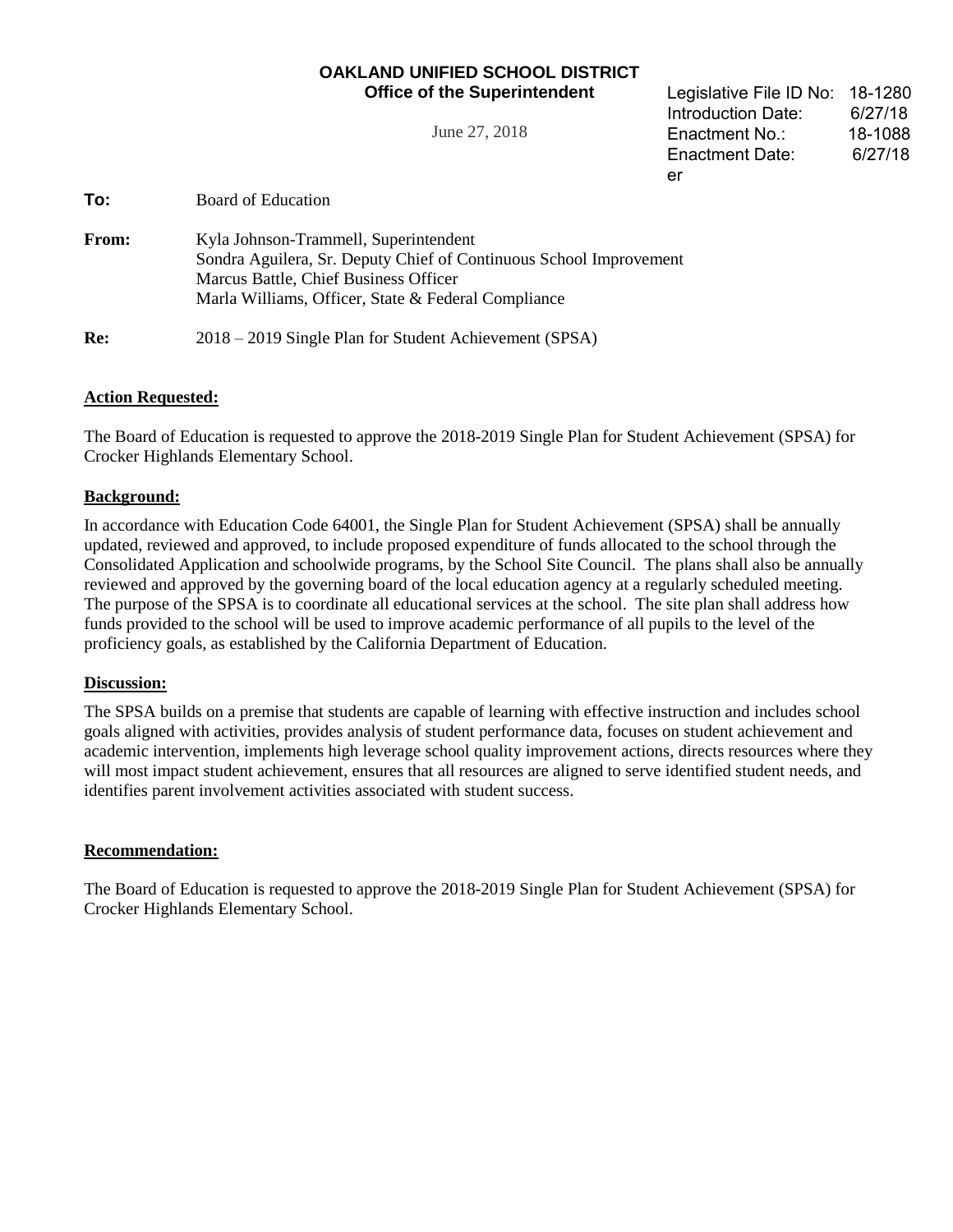## **OAKLAND UNIFIED SCHOOL DISTRICT Office of the Superintendent**

June 27, 2018

Legislative File ID No: 18-1280 Introduction Date: 6/27/18 Enactment No.: 18-1088 Enactment Date: 6/27/18 er

**To:** Board of Education

| <b>From:</b> | Kyla Johnson-Trammell, Superintendent                              |
|--------------|--------------------------------------------------------------------|
|              | Sondra Aguilera, Sr. Deputy Chief of Continuous School Improvement |
|              | Marcus Battle, Chief Business Officer                              |
|              | Marla Williams, Officer, State & Federal Compliance                |
|              |                                                                    |

**Re:** 2018 – 2019 Single Plan for Student Achievement (SPSA)

# **Action Requested:**

The Board of Education is requested to approve the 2018-2019 Single Plan for Student Achievement (SPSA) for Crocker Highlands Elementary School.

### **Background:**

In accordance with Education Code 64001, the Single Plan for Student Achievement (SPSA) shall be annually updated, reviewed and approved, to include proposed expenditure of funds allocated to the school through the Consolidated Application and schoolwide programs, by the School Site Council. The plans shall also be annually reviewed and approved by the governing board of the local education agency at a regularly scheduled meeting. The purpose of the SPSA is to coordinate all educational services at the school. The site plan shall address how funds provided to the school will be used to improve academic performance of all pupils to the level of the proficiency goals, as established by the California Department of Education.

#### **Discussion:**

The SPSA builds on a premise that students are capable of learning with effective instruction and includes school goals aligned with activities, provides analysis of student performance data, focuses on student achievement and academic intervention, implements high leverage school quality improvement actions, directs resources where they will most impact student achievement, ensures that all resources are aligned to serve identified student needs, and identifies parent involvement activities associated with student success.

#### **Recommendation:**

The Board of Education is requested to approve the 2018-2019 Single Plan for Student Achievement (SPSA) for Crocker Highlands Elementary School.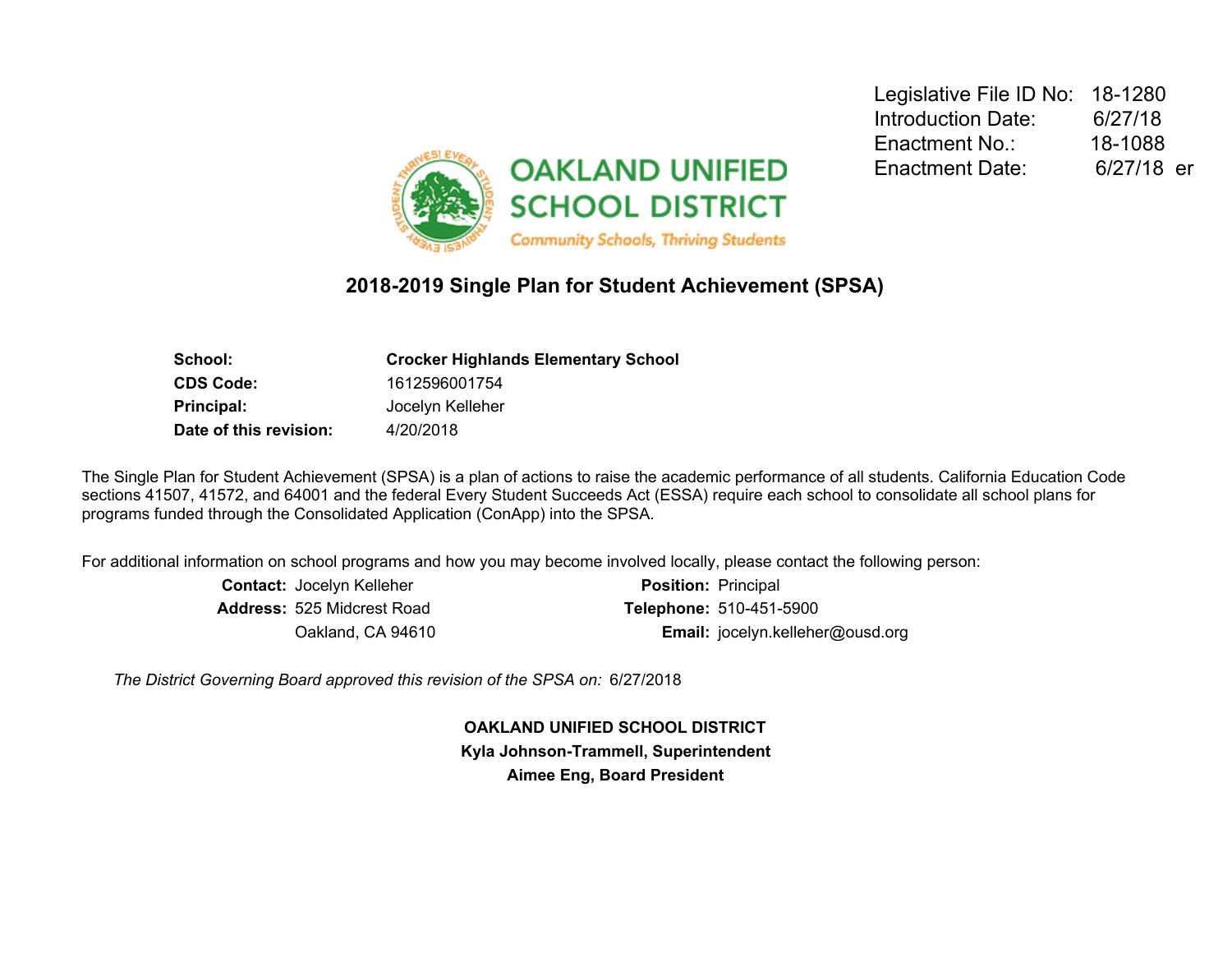

# **2018-2019 Single Plan for Student Achievement (SPSA)**

| <b>Crocker Highlands Elementary School</b> |
|--------------------------------------------|
| 1612596001754                              |
| Jocelyn Kelleher                           |
| 4/20/2018                                  |
|                                            |

The Single Plan for Student Achievement (SPSA) is a plan of actions to raise the academic performance of all students. California Education Code sections 41507, 41572, and 64001 and the federal Every Student Succeeds Act (ESSA) require each school to consolidate all school plans for programs funded through the Consolidated Application (ConApp) into the SPSA.

For additional information on school programs and how you may become involved locally, please contact the following person:

| <b>Contact: Jocelyn Kelleher</b>  | <b>Position: Principal</b>       |
|-----------------------------------|----------------------------------|
| <b>Address:</b> 525 Midcrest Road | <b>Telephone: 510-451-5900</b>   |
| Oakland, CA 94610                 | Email: jocelyn.kelleher@ousd.org |

*The District Governing Board approved this revision of the SPSA on:* 6/27/2018

**OAKLAND UNIFIED SCHOOL DISTRICT Kyla Johnson-Trammell, Superintendent Aimee Eng, Board President**

Legislative File ID No: 18-1280 Introduction Date: 6/27/18 Enactment No.: 18-1088 Enactment Date: 6/27/18 er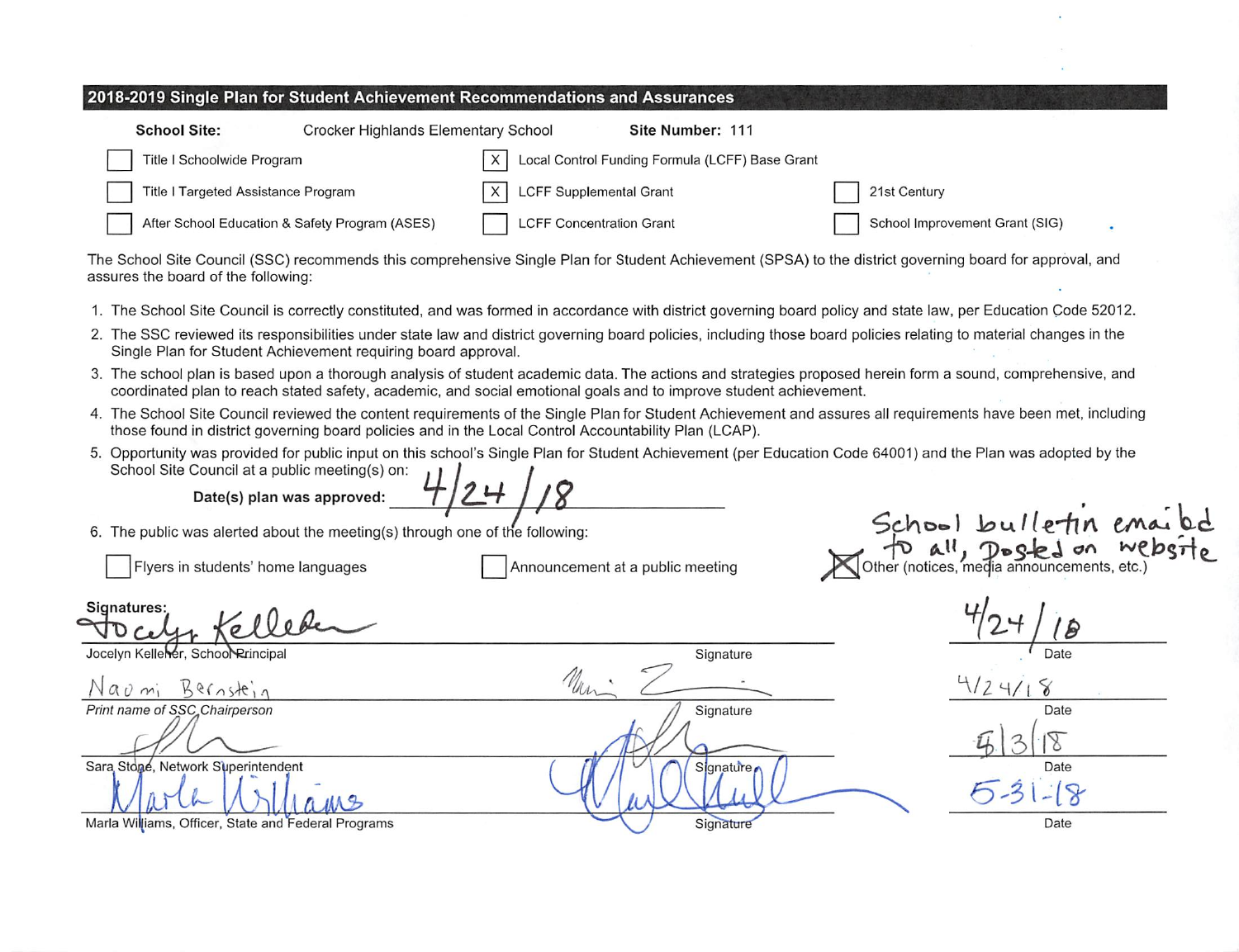| 2018-2019 Single Plan for Student Achievement Recommendations and Assurances |                                                             |                                |  |  |  |
|------------------------------------------------------------------------------|-------------------------------------------------------------|--------------------------------|--|--|--|
| Crocker Highlands Elementary School<br><b>School Site:</b>                   | Site Number: 111                                            |                                |  |  |  |
| Title I Schoolwide Program                                                   | Local Control Funding Formula (LCFF) Base Grant<br>$\times$ |                                |  |  |  |
| Title I Targeted Assistance Program                                          | <b>LCFF Supplemental Grant</b>                              | 21st Century                   |  |  |  |
| After School Education & Safety Program (ASES)                               | <b>LCFF Concentration Grant</b>                             | School Improvement Grant (SIG) |  |  |  |

The School Site Council (SSC) recommends this comprehensive Single Plan for Student Achievement (SPSA) to the district governing board for approval, and assures the board of the following:

- 1. The School Site Council is correctly constituted, and was formed in accordance with district governing board policy and state law, per Education Code 52012.
- 2. The SSC reviewed its responsibilities under state law and district governing board policies, including those board policies relating to material changes in the Single Plan for Student Achievement requiring board approval.
- 3. The school plan is based upon a thorough analysis of student academic data. The actions and strategies proposed herein form a sound, comprehensive, and coordinated plan to reach stated safety, academic, and social emotional goals and to improve student achievement.
- 4. The School Site Council reviewed the content requirements of the Single Plan for Student Achievement and assures all requirements have been met, including those found in district governing board policies and in the Local Control Accountability Plan (LCAP).
- 5. Opportunity was provided for public input on this school's Single Plan for Student Achievement (per Education Code 64001) and the Plan was adopted by the School Site Council at a public meeting(s) on:

Date(s) plan was approved:

6. The public was alerted about the meeting(s) through one of the following:

Flyers in students' home languages

Announcement at a public meeting

School bulletin em for all, posted on WI<br>Jother (notices, media announcements, etc.

**Signatures:** 

Jocelyn Kellener, School Rrincipal

Bernstein  $n \nightharpoonup n$ 

Print name of SSC Chairperson

Sara Stone, Network Superintendent

Signature Man Signature

Signature,

Signature

Date  $124/18$ Date Date

Date

Marla Williams, Officer, State and Federal Programs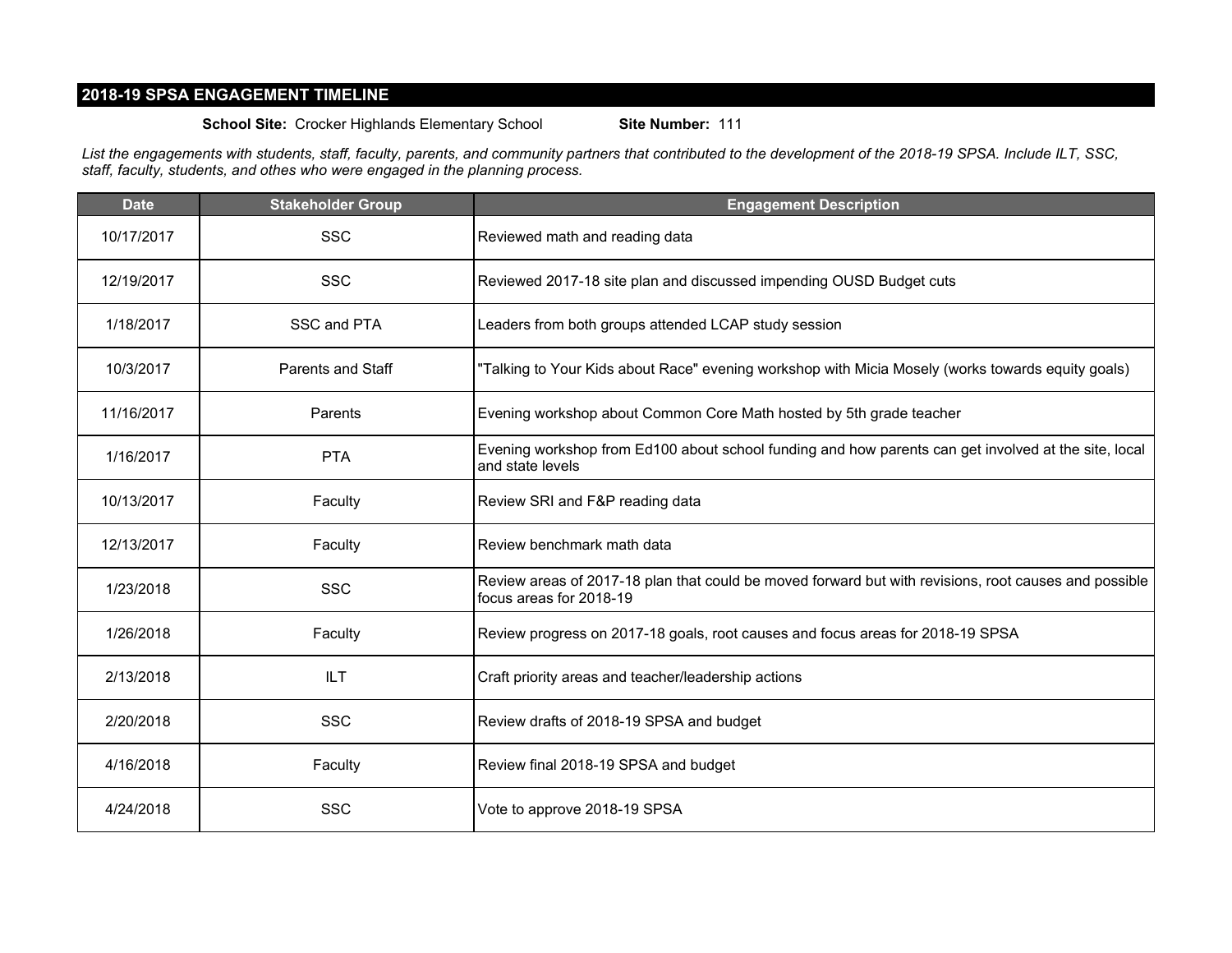# **2018-19 SPSA ENGAGEMENT TIMELINE**

**School Site:** Crocker Highlands Elementary School **Site Number:** 111

*List the engagements with students, staff, faculty, parents, and community partners that contributed to the development of the 2018-19 SPSA. Include ILT, SSC, staff, faculty, students, and othes who were engaged in the planning process.*

| <b>Date</b> | <b>Stakeholder Group</b> | <b>Engagement Description</b>                                                                                                    |
|-------------|--------------------------|----------------------------------------------------------------------------------------------------------------------------------|
| 10/17/2017  | <b>SSC</b>               | Reviewed math and reading data                                                                                                   |
| 12/19/2017  | <b>SSC</b>               | Reviewed 2017-18 site plan and discussed impending OUSD Budget cuts                                                              |
| 1/18/2017   | SSC and PTA              | Leaders from both groups attended LCAP study session                                                                             |
| 10/3/2017   | Parents and Staff        | "Talking to Your Kids about Race" evening workshop with Micia Mosely (works towards equity goals)                                |
| 11/16/2017  | Parents                  | Evening workshop about Common Core Math hosted by 5th grade teacher                                                              |
| 1/16/2017   | <b>PTA</b>               | Evening workshop from Ed100 about school funding and how parents can get involved at the site, local<br>and state levels         |
| 10/13/2017  | Faculty                  | Review SRI and F&P reading data                                                                                                  |
| 12/13/2017  | Faculty                  | Review benchmark math data                                                                                                       |
| 1/23/2018   | <b>SSC</b>               | Review areas of 2017-18 plan that could be moved forward but with revisions, root causes and possible<br>focus areas for 2018-19 |
| 1/26/2018   | Faculty                  | Review progress on 2017-18 goals, root causes and focus areas for 2018-19 SPSA                                                   |
| 2/13/2018   | <b>ILT</b>               | Craft priority areas and teacher/leadership actions                                                                              |
| 2/20/2018   | <b>SSC</b>               | Review drafts of 2018-19 SPSA and budget                                                                                         |
| 4/16/2018   | Faculty                  | Review final 2018-19 SPSA and budget                                                                                             |
| 4/24/2018   | <b>SSC</b>               | Vote to approve 2018-19 SPSA                                                                                                     |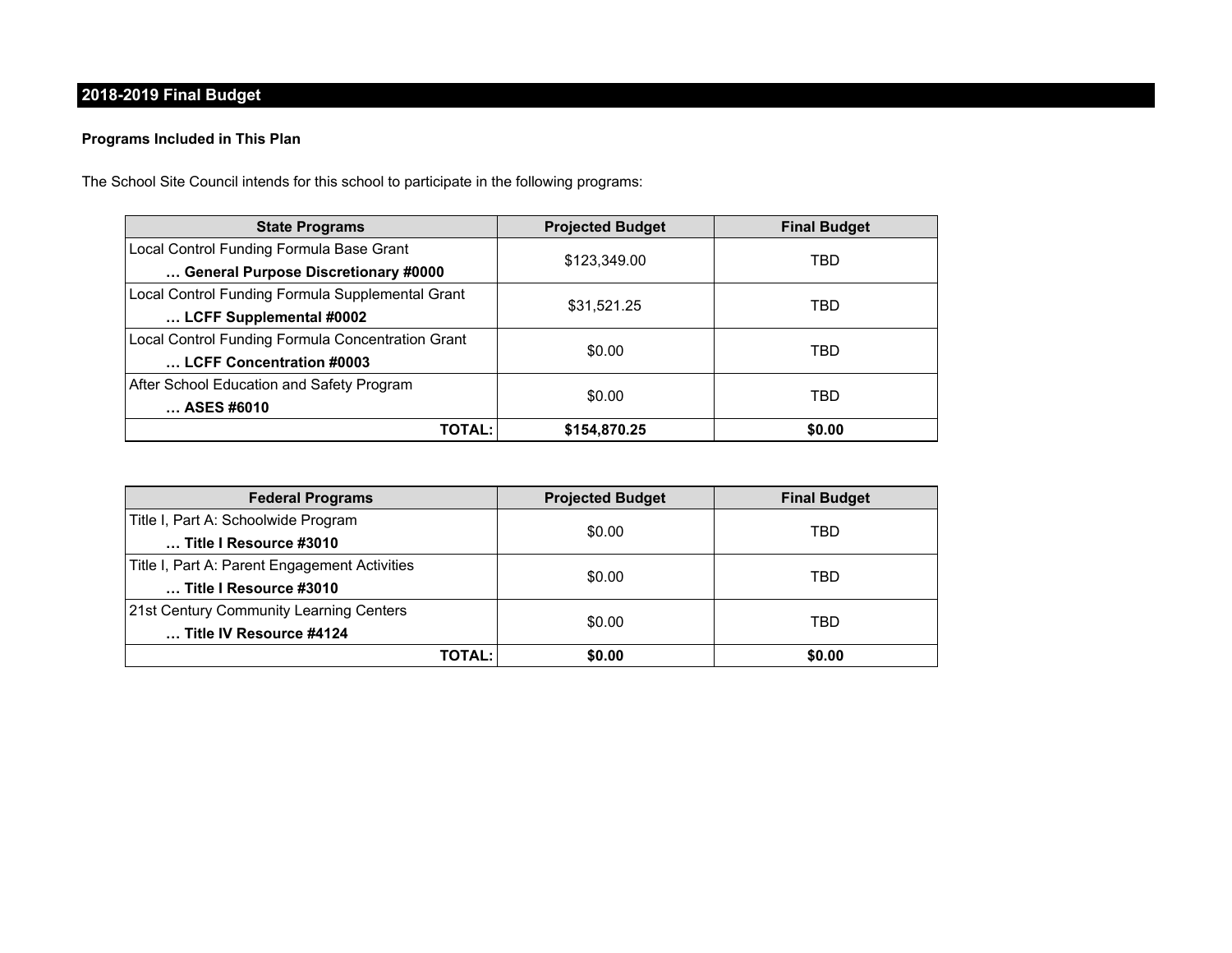# **2018-2019 Final Budget**

### **Programs Included in This Plan**

The School Site Council intends for this school to participate in the following programs:

| <b>State Programs</b>                             | <b>Projected Budget</b> | <b>Final Budget</b> |  |
|---------------------------------------------------|-------------------------|---------------------|--|
| Local Control Funding Formula Base Grant          |                         | TBD                 |  |
| General Purpose Discretionary #0000               | \$123,349.00            |                     |  |
| Local Control Funding Formula Supplemental Grant  | \$31,521.25             | TBD                 |  |
| LCFF Supplemental #0002                           |                         |                     |  |
| Local Control Funding Formula Concentration Grant | \$0.00                  | TBD                 |  |
| LCFF Concentration #0003                          |                         |                     |  |
| After School Education and Safety Program         |                         | TBD                 |  |
| ASES #6010                                        | \$0.00                  |                     |  |
| <b>TOTAL:</b>                                     | \$154,870.25            | \$0.00              |  |

| <b>Federal Programs</b>                       | <b>Projected Budget</b> | <b>Final Budget</b> |  |
|-----------------------------------------------|-------------------------|---------------------|--|
| Title I, Part A: Schoolwide Program           |                         | TBD                 |  |
| Title I Resource #3010                        | \$0.00                  |                     |  |
| Title I, Part A: Parent Engagement Activities |                         | TBD                 |  |
| Title I Resource #3010                        | \$0.00                  |                     |  |
| 21st Century Community Learning Centers       |                         |                     |  |
| Title IV Resource #4124                       | \$0.00                  | TBD                 |  |
| TOTAL:                                        | \$0.00                  | \$0.00              |  |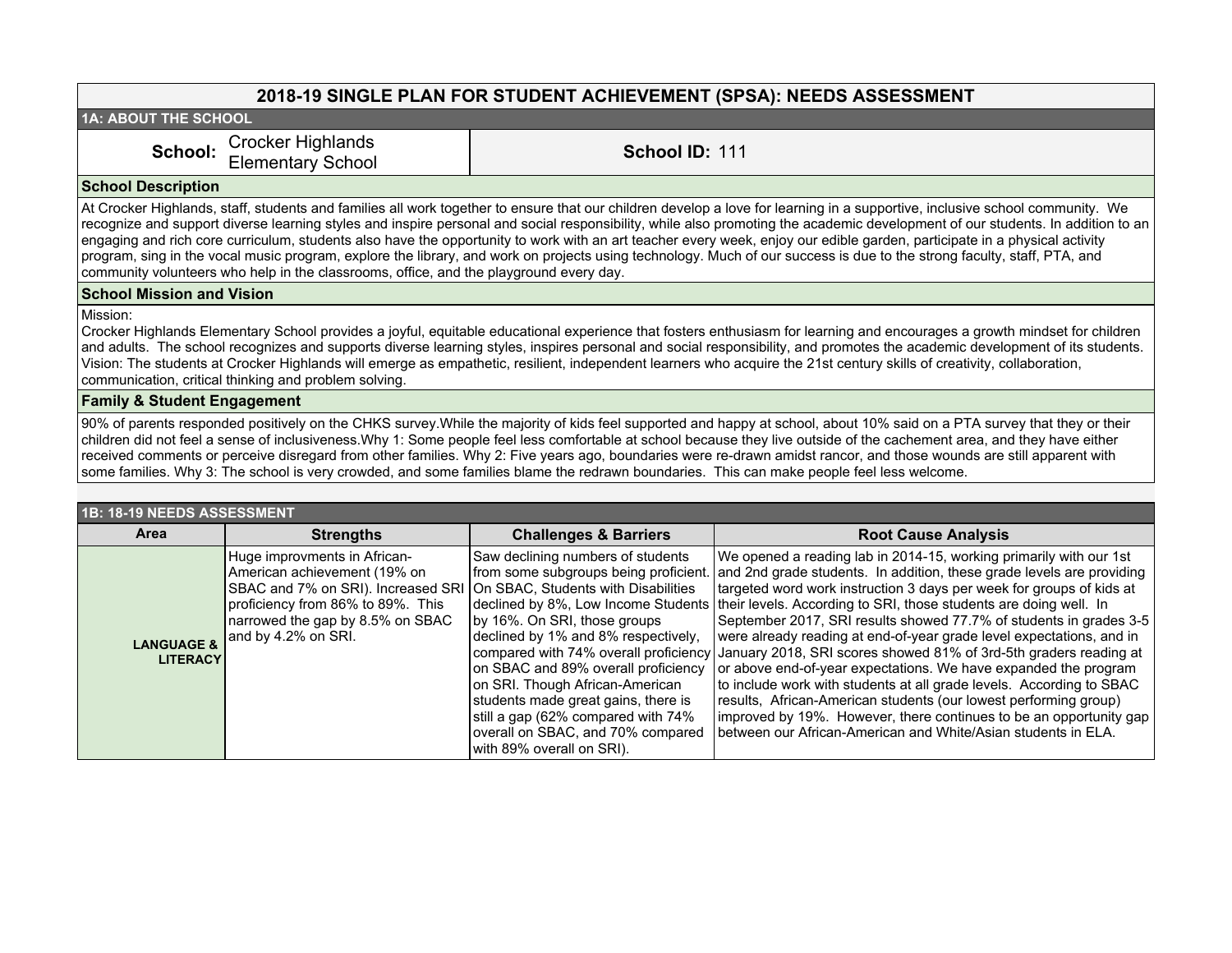# **2018-19 SINGLE PLAN FOR STUDENT ACHIEVEMENT (SPSA): NEEDS ASSESSMENT**

**1A: ABOUT THE SCHOOL**

School: Crocker Highlands Elementary School **School ID:** <sup>111</sup>

#### **School Description**

At Crocker Highlands, staff, students and families all work together to ensure that our children develop a love for learning in a supportive, inclusive school community. We recognize and support diverse learning styles and inspire personal and social responsibility, while also promoting the academic development of our students. In addition to an engaging and rich core curriculum, students also have the opportunity to work with an art teacher every week, enjoy our edible garden, participate in a physical activity program, sing in the vocal music program, explore the library, and work on projects using technology. Much of our success is due to the strong faculty, staff, PTA, and community volunteers who help in the classrooms, office, and the playground every day.

#### **School Mission and Vision**

Mission:

Crocker Highlands Elementary School provides a joyful, equitable educational experience that fosters enthusiasm for learning and encourages a growth mindset for children and adults. The school recognizes and supports diverse learning styles, inspires personal and social responsibility, and promotes the academic development of its students. Vision: The students at Crocker Highlands will emerge as empathetic, resilient, independent learners who acquire the 21st century skills of creativity, collaboration, communication, critical thinking and problem solving.

#### **Family & Student Engagement**

90% of parents responded positively on the CHKS survey.While the majority of kids feel supported and happy at school, about 10% said on a PTA survey that they or their children did not feel a sense of inclusiveness.Why 1: Some people feel less comfortable at school because they live outside of the cachement area, and they have either received comments or perceive disregard from other families. Why 2: Five years ago, boundaries were re-drawn amidst rancor, and those wounds are still apparent with some families. Why 3: The school is very crowded, and some families blame the redrawn boundaries. This can make people feel less welcome.

| 1B: 18-19 NEEDS ASSESSMENT               |                                                                                                                                                                                                                                        |                                                                                                                                                                                                                                                                                                                                                                                                                     |                                                                                                                                                                                                                                                                                                                                                                                                                                                                                                                                                                                                                                                                                                                                                                                                                                                                                                       |  |  |
|------------------------------------------|----------------------------------------------------------------------------------------------------------------------------------------------------------------------------------------------------------------------------------------|---------------------------------------------------------------------------------------------------------------------------------------------------------------------------------------------------------------------------------------------------------------------------------------------------------------------------------------------------------------------------------------------------------------------|-------------------------------------------------------------------------------------------------------------------------------------------------------------------------------------------------------------------------------------------------------------------------------------------------------------------------------------------------------------------------------------------------------------------------------------------------------------------------------------------------------------------------------------------------------------------------------------------------------------------------------------------------------------------------------------------------------------------------------------------------------------------------------------------------------------------------------------------------------------------------------------------------------|--|--|
| Area                                     | <b>Strengths</b>                                                                                                                                                                                                                       | <b>Challenges &amp; Barriers</b>                                                                                                                                                                                                                                                                                                                                                                                    | <b>Root Cause Analysis</b>                                                                                                                                                                                                                                                                                                                                                                                                                                                                                                                                                                                                                                                                                                                                                                                                                                                                            |  |  |
| <b>LANGUAGE &amp;</b><br><b>LITERACY</b> | Huge improvments in African-<br>American achievement (19% on<br>SBAC and 7% on SRI). Increased SRI On SBAC, Students with Disabilities<br>proficiency from 86% to 89%. This<br>narrowed the gap by 8.5% on SBAC<br>and by 4.2% on SRI. | Saw declining numbers of students<br>from some subgroups being proficient.<br>by 16%. On SRI, those groups<br>declined by 1% and 8% respectively,<br>compared with 74% overall proficiency<br>on SBAC and 89% overall proficiency<br>on SRI. Though African-American<br>students made great gains, there is<br>still a gap (62% compared with 74%<br>overall on SBAC, and 70% compared<br>with 89% overall on SRI). | We opened a reading lab in 2014-15, working primarily with our 1st<br>and 2nd grade students. In addition, these grade levels are providing<br>targeted word work instruction 3 days per week for groups of kids at<br>declined by 8%, Low Income Students their levels. According to SRI, those students are doing well. In<br>September 2017, SRI results showed 77.7% of students in grades 3-5<br>were already reading at end-of-year grade level expectations, and in<br>January 2018, SRI scores showed 81% of 3rd-5th graders reading at<br>or above end-of-year expectations. We have expanded the program<br>to include work with students at all grade levels. According to SBAC<br>results, African-American students (our lowest performing group)<br>improved by 19%. However, there continues to be an opportunity gap<br>between our African-American and White/Asian students in ELA. |  |  |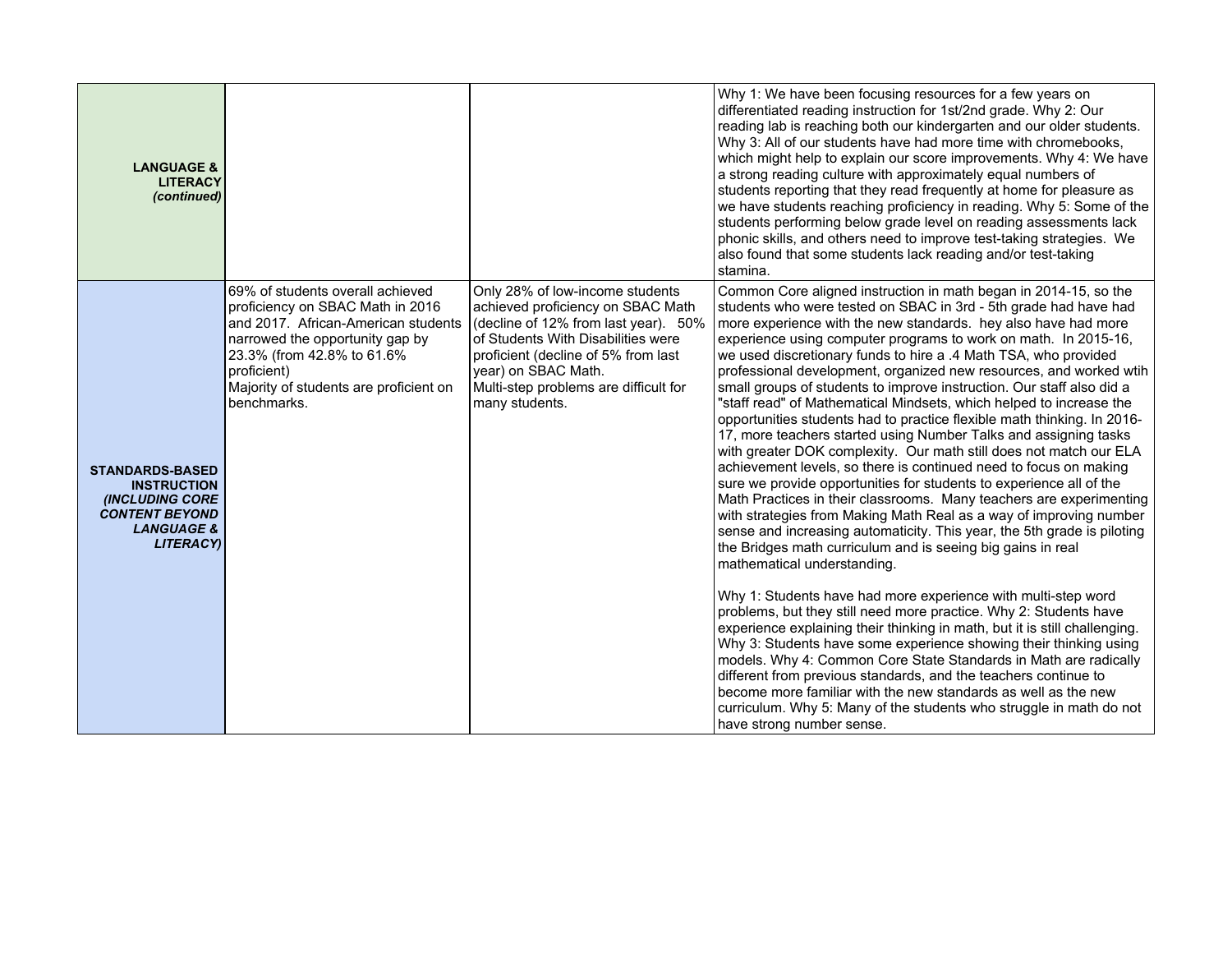| <b>LANGUAGE &amp;</b><br><b>LITERACY</b><br>(continued)                                                                                       |                                                                                                                                                                                                                                                      |                                                                                                                                                                                                                                                                             | Why 1: We have been focusing resources for a few years on<br>differentiated reading instruction for 1st/2nd grade. Why 2: Our<br>reading lab is reaching both our kindergarten and our older students.<br>Why 3: All of our students have had more time with chromebooks,<br>which might help to explain our score improvements. Why 4: We have<br>a strong reading culture with approximately equal numbers of<br>students reporting that they read frequently at home for pleasure as<br>we have students reaching proficiency in reading. Why 5: Some of the<br>students performing below grade level on reading assessments lack<br>phonic skills, and others need to improve test-taking strategies. We<br>also found that some students lack reading and/or test-taking<br>stamina.                                                                                                                                                                                                                                                                                                                                                                                                                                                                                                                                                                                                                                                                                                                                                                                                                                                                                                                                                                                                                                                                       |
|-----------------------------------------------------------------------------------------------------------------------------------------------|------------------------------------------------------------------------------------------------------------------------------------------------------------------------------------------------------------------------------------------------------|-----------------------------------------------------------------------------------------------------------------------------------------------------------------------------------------------------------------------------------------------------------------------------|-----------------------------------------------------------------------------------------------------------------------------------------------------------------------------------------------------------------------------------------------------------------------------------------------------------------------------------------------------------------------------------------------------------------------------------------------------------------------------------------------------------------------------------------------------------------------------------------------------------------------------------------------------------------------------------------------------------------------------------------------------------------------------------------------------------------------------------------------------------------------------------------------------------------------------------------------------------------------------------------------------------------------------------------------------------------------------------------------------------------------------------------------------------------------------------------------------------------------------------------------------------------------------------------------------------------------------------------------------------------------------------------------------------------------------------------------------------------------------------------------------------------------------------------------------------------------------------------------------------------------------------------------------------------------------------------------------------------------------------------------------------------------------------------------------------------------------------------------------------------|
| <b>STANDARDS-BASED</b><br><b>INSTRUCTION</b><br><b>(INCLUDING CORE</b><br><b>CONTENT BEYOND</b><br><b>LANGUAGE &amp;</b><br><b>LITERACY</b> ) | 69% of students overall achieved<br>proficiency on SBAC Math in 2016<br>and 2017. African-American students<br>narrowed the opportunity gap by<br>23.3% (from 42.8% to 61.6%<br>proficient)<br>Majority of students are proficient on<br>benchmarks. | Only 28% of low-income students<br>achieved proficiency on SBAC Math<br>(decline of 12% from last year). 50%<br>of Students With Disabilities were<br>proficient (decline of 5% from last<br>year) on SBAC Math.<br>Multi-step problems are difficult for<br>many students. | Common Core aligned instruction in math began in 2014-15, so the<br>students who were tested on SBAC in 3rd - 5th grade had have had<br>more experience with the new standards. hey also have had more<br>experience using computer programs to work on math. In 2015-16,<br>we used discretionary funds to hire a .4 Math TSA, who provided<br>professional development, organized new resources, and worked wtih<br>small groups of students to improve instruction. Our staff also did a<br>"staff read" of Mathematical Mindsets, which helped to increase the<br>opportunities students had to practice flexible math thinking. In 2016-<br>17, more teachers started using Number Talks and assigning tasks<br>with greater DOK complexity. Our math still does not match our ELA<br>achievement levels, so there is continued need to focus on making<br>sure we provide opportunities for students to experience all of the<br>Math Practices in their classrooms. Many teachers are experimenting<br>with strategies from Making Math Real as a way of improving number<br>sense and increasing automaticity. This year, the 5th grade is piloting<br>the Bridges math curriculum and is seeing big gains in real<br>mathematical understanding.<br>Why 1: Students have had more experience with multi-step word<br>problems, but they still need more practice. Why 2: Students have<br>experience explaining their thinking in math, but it is still challenging.<br>Why 3: Students have some experience showing their thinking using<br>models. Why 4: Common Core State Standards in Math are radically<br>different from previous standards, and the teachers continue to<br>become more familiar with the new standards as well as the new<br>curriculum. Why 5: Many of the students who struggle in math do not<br>have strong number sense. |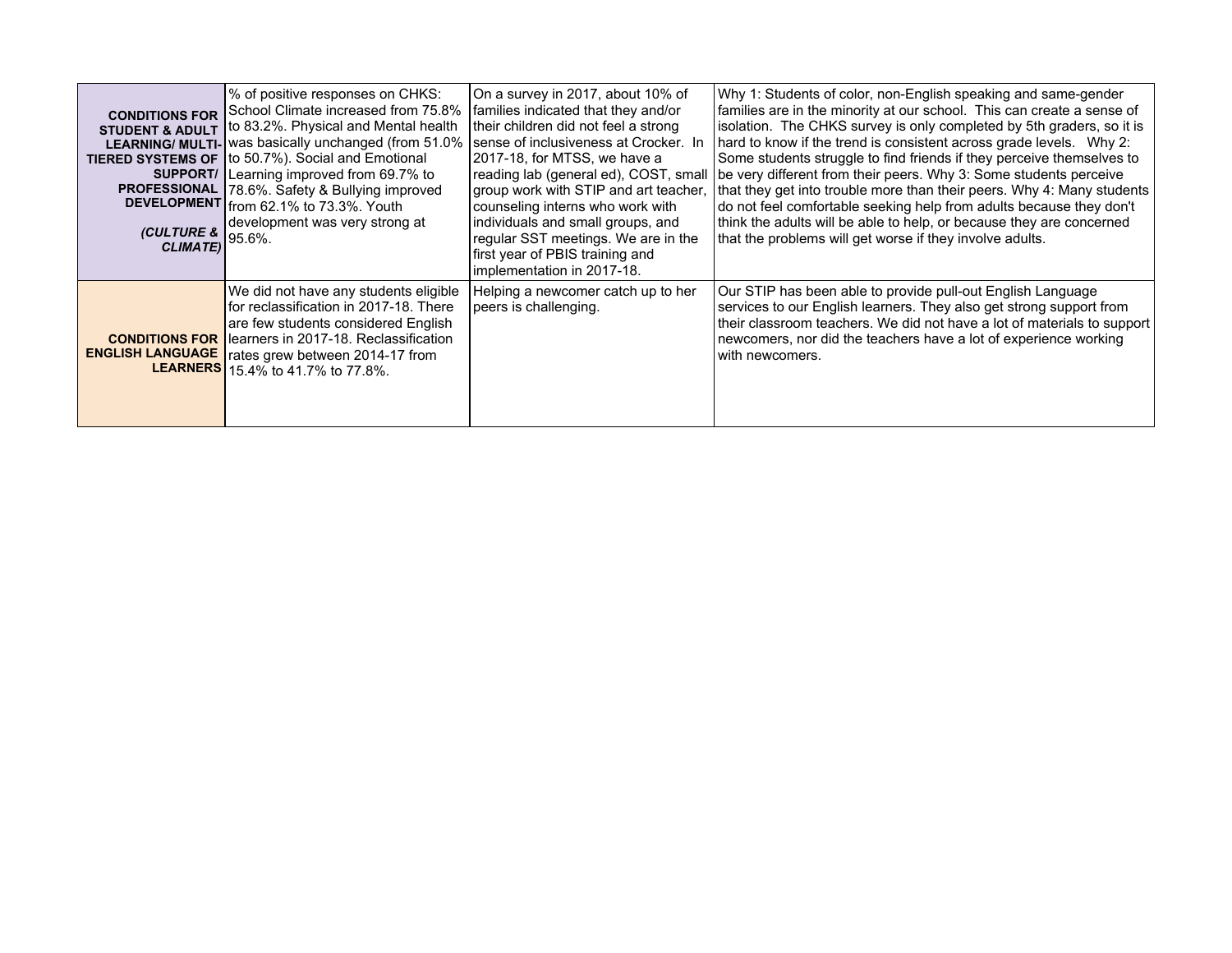| <b>CONDITIONS FOR</b><br><b>LEARNING/ MULTI-</b><br>SUPPORT/<br><b>PROFESSIONAL</b><br><b>(CULTURE &amp;</b><br><b>CLIMATE)</b> | % of positive responses on CHKS:<br>School Climate increased from 75.8%<br>STUDENT & ADULT   to 83.2%. Physical and Mental health<br>was basically unchanged (from 51.0%<br>TIERED SYSTEMS OF   to 50.7%). Social and Emotional<br>Learning improved from 69.7% to<br>78.6%. Safety & Bullying improved<br>DEVELOPMENT from 62.1% to 73.3%. Youth<br>development was very strong at<br>95.6%. | On a survey in 2017, about 10% of<br>families indicated that they and/or<br>their children did not feel a strong<br>sense of inclusiveness at Crocker. In<br>2017-18, for MTSS, we have a<br>reading lab (general ed), COST, small<br>group work with STIP and art teacher,<br>counseling interns who work with<br>individuals and small groups, and<br>regular SST meetings. We are in the<br>first year of PBIS training and<br>implementation in 2017-18. | Why 1: Students of color, non-English speaking and same-gender<br>families are in the minority at our school. This can create a sense of<br>isolation. The CHKS survey is only completed by 5th graders, so it is<br>hard to know if the trend is consistent across grade levels. Why 2:<br>Some students struggle to find friends if they perceive themselves to<br>be very different from their peers. Why 3: Some students perceive<br>that they get into trouble more than their peers. Why 4: Many students<br>do not feel comfortable seeking help from adults because they don't<br>think the adults will be able to help, or because they are concerned<br>that the problems will get worse if they involve adults. |
|---------------------------------------------------------------------------------------------------------------------------------|-----------------------------------------------------------------------------------------------------------------------------------------------------------------------------------------------------------------------------------------------------------------------------------------------------------------------------------------------------------------------------------------------|--------------------------------------------------------------------------------------------------------------------------------------------------------------------------------------------------------------------------------------------------------------------------------------------------------------------------------------------------------------------------------------------------------------------------------------------------------------|-----------------------------------------------------------------------------------------------------------------------------------------------------------------------------------------------------------------------------------------------------------------------------------------------------------------------------------------------------------------------------------------------------------------------------------------------------------------------------------------------------------------------------------------------------------------------------------------------------------------------------------------------------------------------------------------------------------------------------|
| <b>CONDITIONS FOR</b><br><b>ENGLISH LANGUAGE</b><br><b>LEARNERS</b>                                                             | We did not have any students eligible<br>for reclassification in 2017-18. There<br>are few students considered English<br>learners in 2017-18. Reclassification<br>rates grew between 2014-17 from<br>15.4% to 41.7% to 77.8%.                                                                                                                                                                | Helping a newcomer catch up to her<br>peers is challenging.                                                                                                                                                                                                                                                                                                                                                                                                  | Our STIP has been able to provide pull-out English Language<br>services to our English learners. They also get strong support from<br>their classroom teachers. We did not have a lot of materials to support<br>newcomers, nor did the teachers have a lot of experience working<br>with newcomers.                                                                                                                                                                                                                                                                                                                                                                                                                        |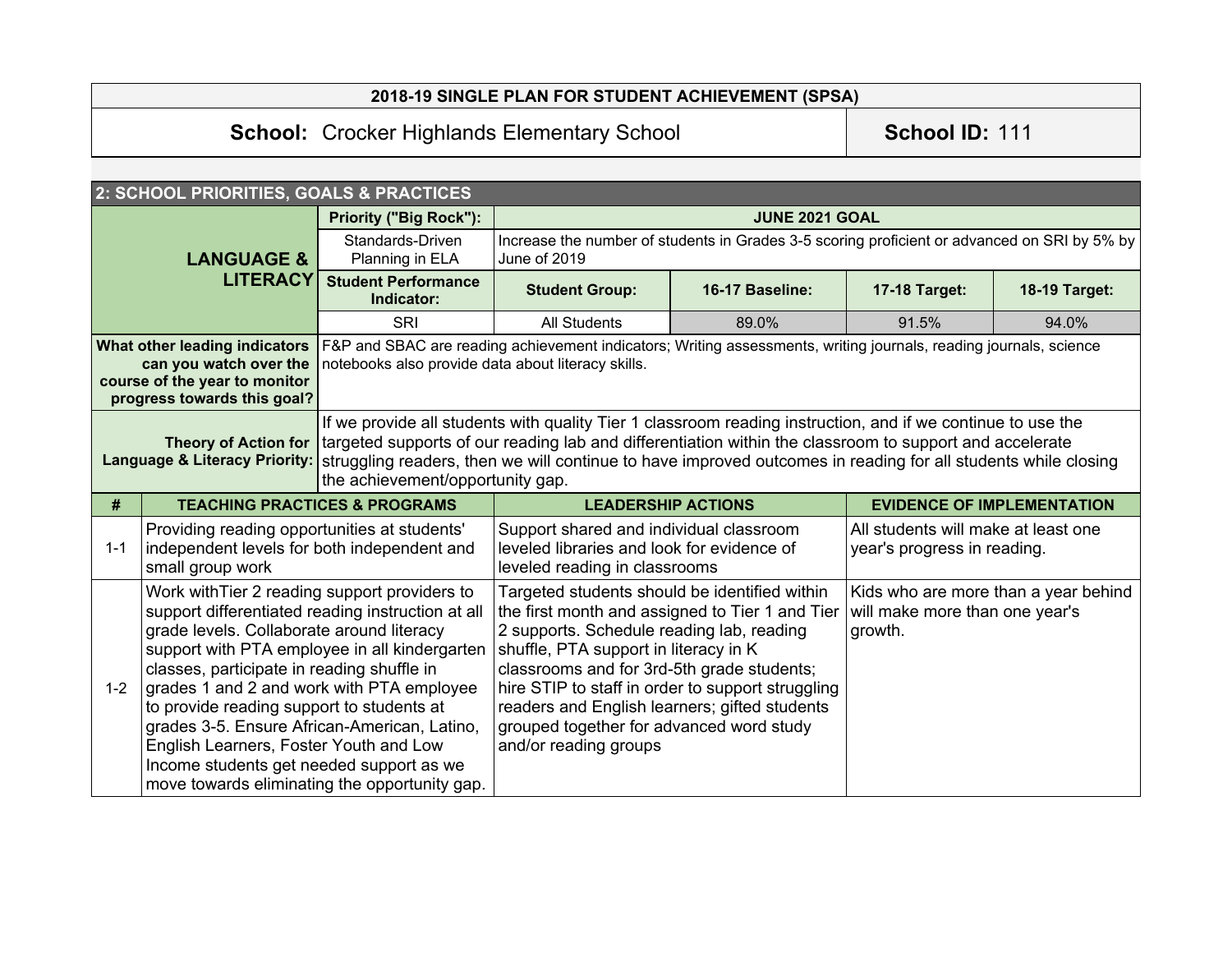|                                                                                                                                                                                                                                                                                                    | 2018-19 SINGLE PLAN FOR STUDENT ACHIEVEMENT (SPSA)                                                                                                                                                                                                                                                                                                                                                                                                                                                                              |                                          |                                                                                                                                                                                                                                                                                                                                                                                                                 |                       |                                                                    |                                      |
|----------------------------------------------------------------------------------------------------------------------------------------------------------------------------------------------------------------------------------------------------------------------------------------------------|---------------------------------------------------------------------------------------------------------------------------------------------------------------------------------------------------------------------------------------------------------------------------------------------------------------------------------------------------------------------------------------------------------------------------------------------------------------------------------------------------------------------------------|------------------------------------------|-----------------------------------------------------------------------------------------------------------------------------------------------------------------------------------------------------------------------------------------------------------------------------------------------------------------------------------------------------------------------------------------------------------------|-----------------------|--------------------------------------------------------------------|--------------------------------------|
|                                                                                                                                                                                                                                                                                                    | <b>School: Crocker Highlands Elementary School</b>                                                                                                                                                                                                                                                                                                                                                                                                                                                                              |                                          |                                                                                                                                                                                                                                                                                                                                                                                                                 |                       | School ID: 111                                                     |                                      |
|                                                                                                                                                                                                                                                                                                    |                                                                                                                                                                                                                                                                                                                                                                                                                                                                                                                                 |                                          |                                                                                                                                                                                                                                                                                                                                                                                                                 |                       |                                                                    |                                      |
|                                                                                                                                                                                                                                                                                                    | 2: SCHOOL PRIORITIES, GOALS & PRACTICES                                                                                                                                                                                                                                                                                                                                                                                                                                                                                         |                                          |                                                                                                                                                                                                                                                                                                                                                                                                                 |                       |                                                                    |                                      |
|                                                                                                                                                                                                                                                                                                    |                                                                                                                                                                                                                                                                                                                                                                                                                                                                                                                                 | <b>Priority ("Big Rock"):</b>            |                                                                                                                                                                                                                                                                                                                                                                                                                 | <b>JUNE 2021 GOAL</b> |                                                                    |                                      |
|                                                                                                                                                                                                                                                                                                    | <b>LANGUAGE &amp;</b>                                                                                                                                                                                                                                                                                                                                                                                                                                                                                                           | Standards-Driven<br>Planning in ELA      | Increase the number of students in Grades 3-5 scoring proficient or advanced on SRI by 5% by<br>June of 2019                                                                                                                                                                                                                                                                                                    |                       |                                                                    |                                      |
|                                                                                                                                                                                                                                                                                                    | <b>LITERACY</b>                                                                                                                                                                                                                                                                                                                                                                                                                                                                                                                 | <b>Student Performance</b><br>Indicator: | <b>Student Group:</b>                                                                                                                                                                                                                                                                                                                                                                                           | 16-17 Baseline:       | 17-18 Target:                                                      | 18-19 Target:                        |
|                                                                                                                                                                                                                                                                                                    |                                                                                                                                                                                                                                                                                                                                                                                                                                                                                                                                 | <b>SRI</b>                               | <b>All Students</b>                                                                                                                                                                                                                                                                                                                                                                                             | 89.0%                 | 91.5%                                                              | 94.0%                                |
| F&P and SBAC are reading achievement indicators; Writing assessments, writing journals, reading journals, science<br>What other leading indicators<br>can you watch over the<br>notebooks also provide data about literacy skills.<br>course of the year to monitor<br>progress towards this goal? |                                                                                                                                                                                                                                                                                                                                                                                                                                                                                                                                 |                                          |                                                                                                                                                                                                                                                                                                                                                                                                                 |                       |                                                                    |                                      |
|                                                                                                                                                                                                                                                                                                    | If we provide all students with quality Tier 1 classroom reading instruction, and if we continue to use the<br>targeted supports of our reading lab and differentiation within the classroom to support and accelerate<br><b>Theory of Action for</b><br><b>Language &amp; Literacy Priority:</b><br>struggling readers, then we will continue to have improved outcomes in reading for all students while closing<br>the achievement/opportunity gap.                                                                          |                                          |                                                                                                                                                                                                                                                                                                                                                                                                                 |                       |                                                                    |                                      |
| #                                                                                                                                                                                                                                                                                                  | <b>TEACHING PRACTICES &amp; PROGRAMS</b>                                                                                                                                                                                                                                                                                                                                                                                                                                                                                        |                                          | <b>LEADERSHIP ACTIONS</b>                                                                                                                                                                                                                                                                                                                                                                                       |                       |                                                                    | <b>EVIDENCE OF IMPLEMENTATION</b>    |
| $1 - 1$                                                                                                                                                                                                                                                                                            | Providing reading opportunities at students'<br>independent levels for both independent and<br>small group work                                                                                                                                                                                                                                                                                                                                                                                                                 |                                          | Support shared and individual classroom<br>leveled libraries and look for evidence of<br>leveled reading in classrooms                                                                                                                                                                                                                                                                                          |                       | All students will make at least one<br>year's progress in reading. |                                      |
| $1 - 2$                                                                                                                                                                                                                                                                                            | Work with Tier 2 reading support providers to<br>support differentiated reading instruction at all<br>grade levels. Collaborate around literacy<br>support with PTA employee in all kindergarten<br>classes, participate in reading shuffle in<br>grades 1 and 2 and work with PTA employee<br>to provide reading support to students at<br>grades 3-5. Ensure African-American, Latino,<br>English Learners, Foster Youth and Low<br>Income students get needed support as we<br>move towards eliminating the opportunity gap. |                                          | Targeted students should be identified within<br>the first month and assigned to Tier 1 and Tier<br>2 supports. Schedule reading lab, reading<br>shuffle, PTA support in literacy in K<br>classrooms and for 3rd-5th grade students;<br>hire STIP to staff in order to support struggling<br>readers and English learners; gifted students<br>grouped together for advanced word study<br>and/or reading groups |                       | will make more than one year's<br>growth.                          | Kids who are more than a year behind |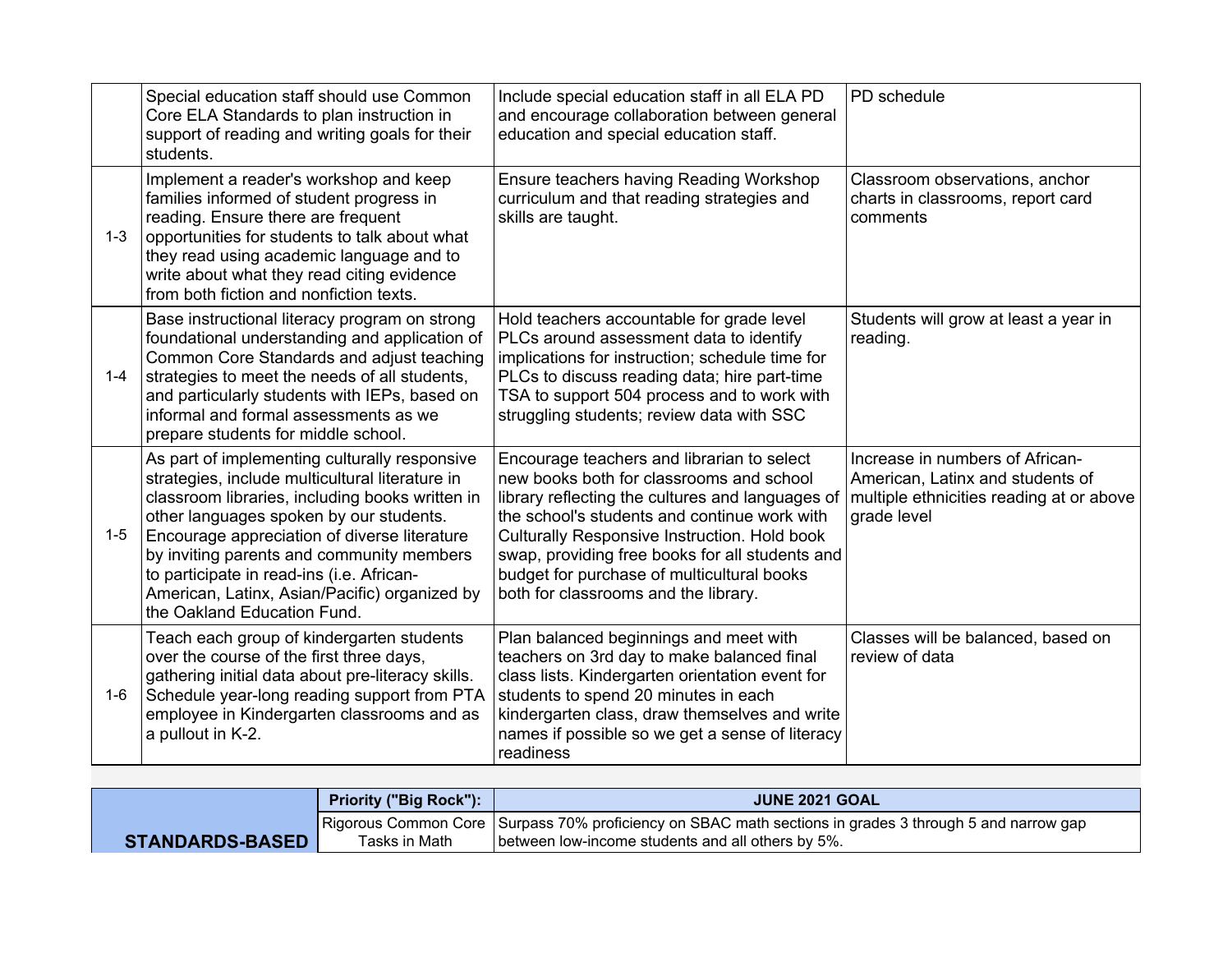|         | Special education staff should use Common<br>Core ELA Standards to plan instruction in<br>support of reading and writing goals for their<br>students.                                                                                                                                                                                                                                                                    | Include special education staff in all ELA PD<br>and encourage collaboration between general<br>education and special education staff.                                                                                                                                                                                                                                              | PD schedule                                                                                                                    |
|---------|--------------------------------------------------------------------------------------------------------------------------------------------------------------------------------------------------------------------------------------------------------------------------------------------------------------------------------------------------------------------------------------------------------------------------|-------------------------------------------------------------------------------------------------------------------------------------------------------------------------------------------------------------------------------------------------------------------------------------------------------------------------------------------------------------------------------------|--------------------------------------------------------------------------------------------------------------------------------|
| $1 - 3$ | Implement a reader's workshop and keep<br>families informed of student progress in<br>reading. Ensure there are frequent<br>opportunities for students to talk about what<br>they read using academic language and to<br>write about what they read citing evidence<br>from both fiction and nonfiction texts.                                                                                                           | Ensure teachers having Reading Workshop<br>curriculum and that reading strategies and<br>skills are taught.                                                                                                                                                                                                                                                                         | Classroom observations, anchor<br>charts in classrooms, report card<br>comments                                                |
| $1 - 4$ | Base instructional literacy program on strong<br>foundational understanding and application of<br>Common Core Standards and adjust teaching<br>strategies to meet the needs of all students,<br>and particularly students with IEPs, based on<br>informal and formal assessments as we<br>prepare students for middle school.                                                                                            | Hold teachers accountable for grade level<br>PLCs around assessment data to identify<br>implications for instruction; schedule time for<br>PLCs to discuss reading data; hire part-time<br>TSA to support 504 process and to work with<br>struggling students; review data with SSC                                                                                                 | Students will grow at least a year in<br>reading.                                                                              |
| $1 - 5$ | As part of implementing culturally responsive<br>strategies, include multicultural literature in<br>classroom libraries, including books written in<br>other languages spoken by our students.<br>Encourage appreciation of diverse literature<br>by inviting parents and community members<br>to participate in read-ins (i.e. African-<br>American, Latinx, Asian/Pacific) organized by<br>the Oakland Education Fund. | Encourage teachers and librarian to select<br>new books both for classrooms and school<br>library reflecting the cultures and languages of<br>the school's students and continue work with<br>Culturally Responsive Instruction. Hold book<br>swap, providing free books for all students and<br>budget for purchase of multicultural books<br>both for classrooms and the library. | Increase in numbers of African-<br>American, Latinx and students of<br>multiple ethnicities reading at or above<br>grade level |
| $1 - 6$ | Teach each group of kindergarten students<br>over the course of the first three days,<br>gathering initial data about pre-literacy skills.<br>Schedule year-long reading support from PTA<br>employee in Kindergarten classrooms and as<br>a pullout in K-2.                                                                                                                                                             | Plan balanced beginnings and meet with<br>teachers on 3rd day to make balanced final<br>class lists. Kindergarten orientation event for<br>students to spend 20 minutes in each<br>kindergarten class, draw themselves and write<br>names if possible so we get a sense of literacy<br>readiness                                                                                    | Classes will be balanced, based on<br>review of data                                                                           |

|                        | <b>Priority ("Big Rock"):</b> | <b>JUNE 2021 GOAL</b>                                                                                                                                          |
|------------------------|-------------------------------|----------------------------------------------------------------------------------------------------------------------------------------------------------------|
| <b>STANDARDS-BASED</b> | Tasks in Math                 | Rigorous Common Core   Surpass 70% proficiency on SBAC math sections in grades 3 through 5 and narrow gap<br>between low-income students and all others by 5%. |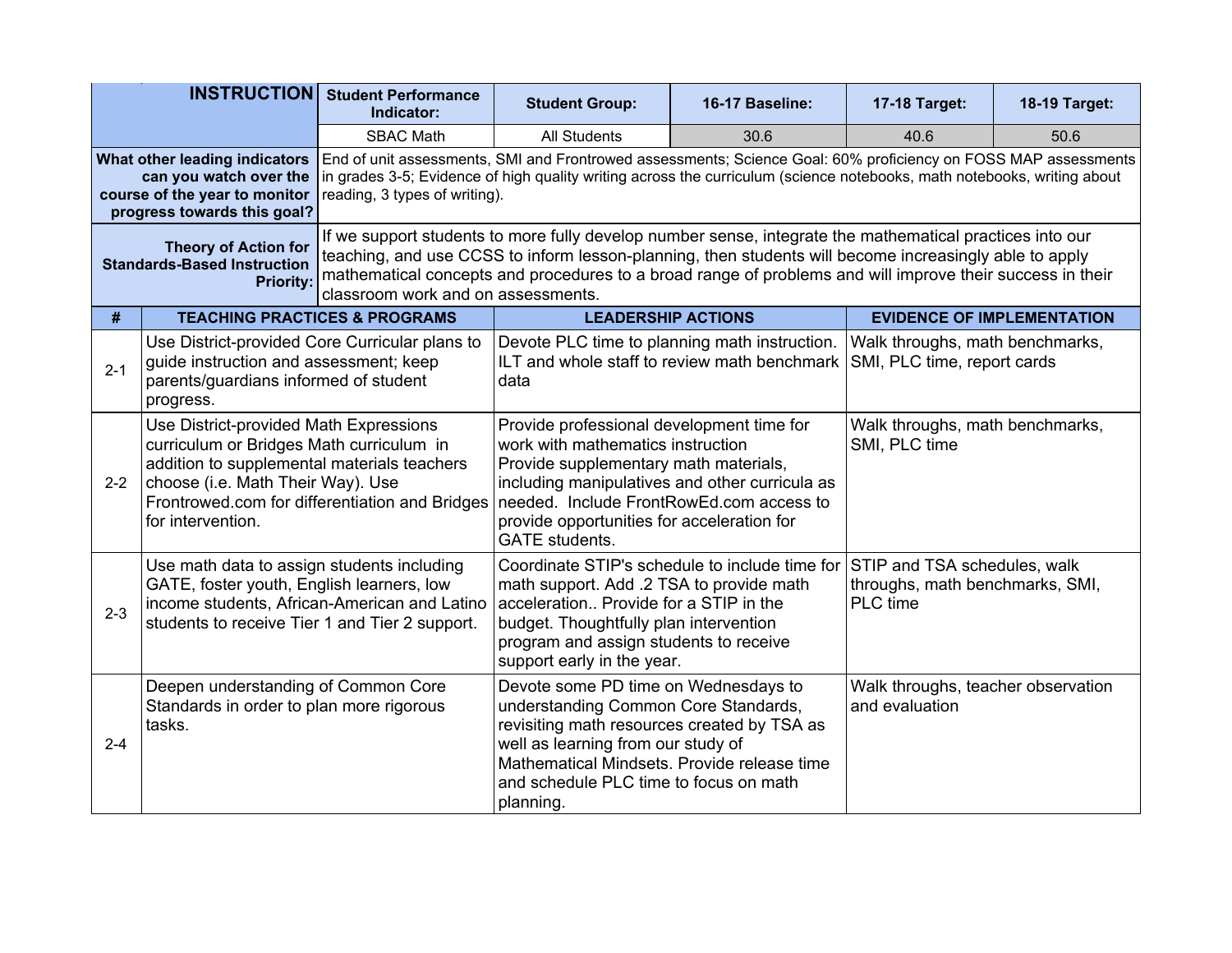| <b>INSTRUCTION</b>                                                                                                                                                                                                                                                                                                                                                                                                                                             |                                                                                                                                                                                                                                               | <b>Student Performance</b><br>Indicator:                                                                                                                                                                                                   | <b>Student Group:</b><br>16-17 Baseline:                                                                                                                                                                                                                                                     |      | 17-18 Target:                                                               | 18-19 Target:                     |  |
|----------------------------------------------------------------------------------------------------------------------------------------------------------------------------------------------------------------------------------------------------------------------------------------------------------------------------------------------------------------------------------------------------------------------------------------------------------------|-----------------------------------------------------------------------------------------------------------------------------------------------------------------------------------------------------------------------------------------------|--------------------------------------------------------------------------------------------------------------------------------------------------------------------------------------------------------------------------------------------|----------------------------------------------------------------------------------------------------------------------------------------------------------------------------------------------------------------------------------------------------------------------------------------------|------|-----------------------------------------------------------------------------|-----------------------------------|--|
| <b>SBAC Math</b>                                                                                                                                                                                                                                                                                                                                                                                                                                               |                                                                                                                                                                                                                                               |                                                                                                                                                                                                                                            | <b>All Students</b>                                                                                                                                                                                                                                                                          | 30.6 | 40.6                                                                        | 50.6                              |  |
|                                                                                                                                                                                                                                                                                                                                                                                                                                                                | What other leading indicators<br>can you watch over the<br>course of the year to monitor<br>progress towards this goal?                                                                                                                       | reading, 3 types of writing).                                                                                                                                                                                                              | End of unit assessments, SMI and Frontrowed assessments; Science Goal: 60% proficiency on FOSS MAP assessments<br>in grades 3-5; Evidence of high quality writing across the curriculum (science notebooks, math notebooks, writing about                                                    |      |                                                                             |                                   |  |
| If we support students to more fully develop number sense, integrate the mathematical practices into our<br><b>Theory of Action for</b><br>teaching, and use CCSS to inform lesson-planning, then students will become increasingly able to apply<br><b>Standards-Based Instruction</b><br>mathematical concepts and procedures to a broad range of problems and will improve their success in their<br><b>Priority:</b><br>classroom work and on assessments. |                                                                                                                                                                                                                                               |                                                                                                                                                                                                                                            |                                                                                                                                                                                                                                                                                              |      |                                                                             |                                   |  |
| #                                                                                                                                                                                                                                                                                                                                                                                                                                                              | <b>TEACHING PRACTICES &amp; PROGRAMS</b>                                                                                                                                                                                                      |                                                                                                                                                                                                                                            | <b>LEADERSHIP ACTIONS</b>                                                                                                                                                                                                                                                                    |      |                                                                             | <b>EVIDENCE OF IMPLEMENTATION</b> |  |
| $2 - 1$                                                                                                                                                                                                                                                                                                                                                                                                                                                        | progress.                                                                                                                                                                                                                                     | Use District-provided Core Curricular plans to<br>Devote PLC time to planning math instruction.<br>ILT and whole staff to review math benchmark<br>guide instruction and assessment; keep<br>parents/guardians informed of student<br>data |                                                                                                                                                                                                                                                                                              |      | Walk throughs, math benchmarks,<br>SMI, PLC time, report cards              |                                   |  |
| $2 - 2$                                                                                                                                                                                                                                                                                                                                                                                                                                                        | Use District-provided Math Expressions<br>curriculum or Bridges Math curriculum in<br>addition to supplemental materials teachers<br>choose (i.e. Math Their Way). Use<br>Frontrowed.com for differentiation and Bridges<br>for intervention. |                                                                                                                                                                                                                                            | Provide professional development time for<br>work with mathematics instruction<br>Provide supplementary math materials,<br>including manipulatives and other curricula as<br>needed. Include FrontRowEd.com access to<br>provide opportunities for acceleration for<br><b>GATE</b> students. |      | Walk throughs, math benchmarks,<br>SMI, PLC time                            |                                   |  |
| $2 - 3$                                                                                                                                                                                                                                                                                                                                                                                                                                                        | Use math data to assign students including<br>GATE, foster youth, English learners, low<br>income students, African-American and Latino<br>students to receive Tier 1 and Tier 2 support.                                                     |                                                                                                                                                                                                                                            | Coordinate STIP's schedule to include time for<br>math support. Add .2 TSA to provide math<br>acceleration Provide for a STIP in the<br>budget. Thoughtfully plan intervention<br>program and assign students to receive<br>support early in the year.                                       |      | STIP and TSA schedules, walk<br>throughs, math benchmarks, SMI,<br>PLC time |                                   |  |
| $2 - 4$                                                                                                                                                                                                                                                                                                                                                                                                                                                        | Deepen understanding of Common Core<br>Standards in order to plan more rigorous<br>tasks.                                                                                                                                                     |                                                                                                                                                                                                                                            | Devote some PD time on Wednesdays to<br>understanding Common Core Standards,<br>revisiting math resources created by TSA as<br>well as learning from our study of<br>Mathematical Mindsets. Provide release time<br>and schedule PLC time to focus on math<br>planning.                      |      | Walk throughs, teacher observation<br>and evaluation                        |                                   |  |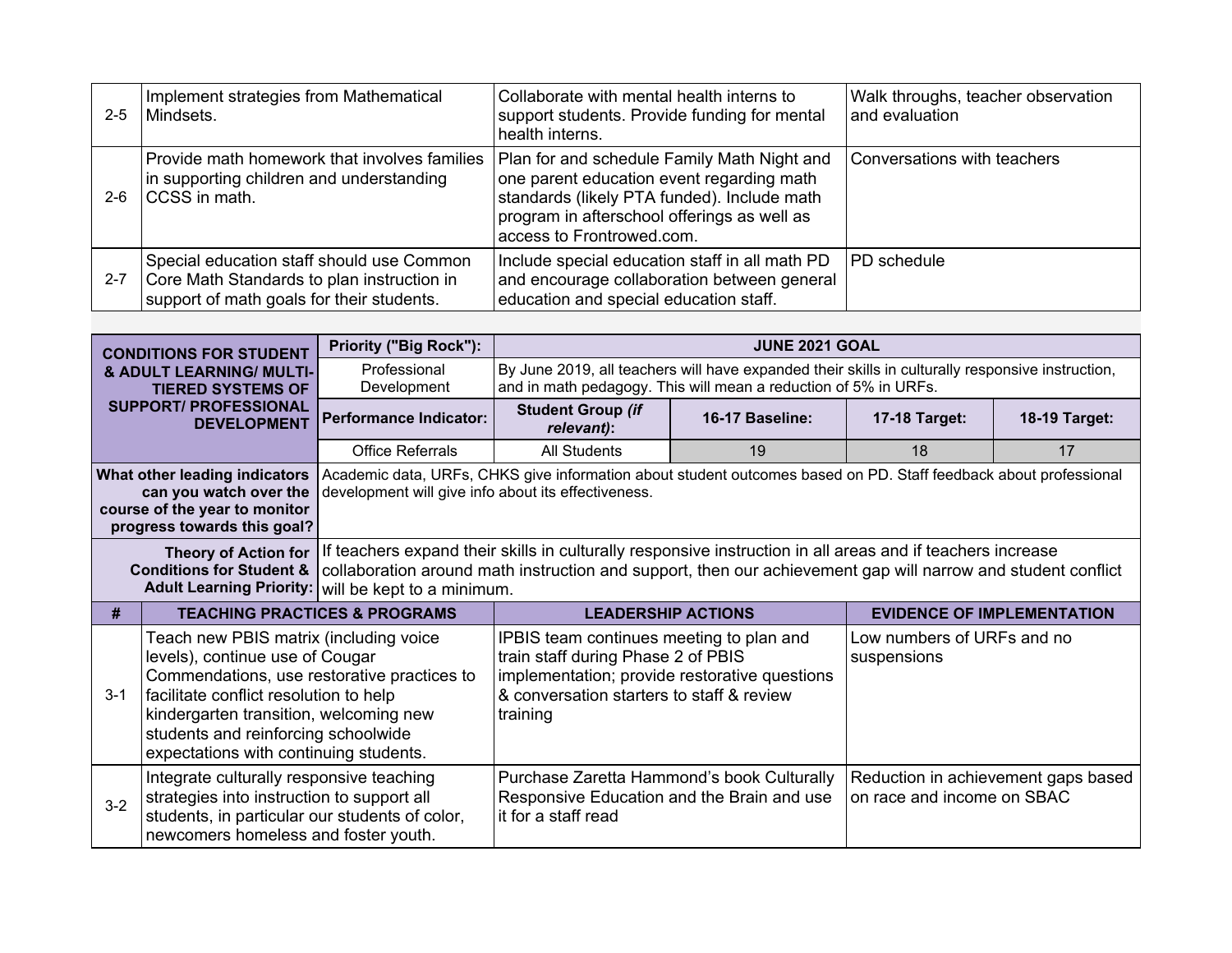| $2 - 5$ | Implement strategies from Mathematical<br>Mindsets.                                                                                  | Collaborate with mental health interns to<br>support students. Provide funding for mental<br>health interns.                                                                                                        | Walk throughs, teacher observation<br>and evaluation |
|---------|--------------------------------------------------------------------------------------------------------------------------------------|---------------------------------------------------------------------------------------------------------------------------------------------------------------------------------------------------------------------|------------------------------------------------------|
| $2 - 6$ | Provide math homework that involves families<br>in supporting children and understanding<br><b>CCSS</b> in math.                     | Plan for and schedule Family Math Night and<br>one parent education event regarding math<br>standards (likely PTA funded). Include math<br>program in afterschool offerings as well as<br>access to Frontrowed.com. | Conversations with teachers                          |
| $2 - 7$ | Special education staff should use Common<br>Core Math Standards to plan instruction in<br>support of math goals for their students. | Include special education staff in all math PD<br>and encourage collaboration between general<br>education and special education staff.                                                                             | PD schedule                                          |

| <b>CONDITIONS FOR STUDENT</b>                                                                                                                                                                                                                                                                      |                                                                                                                                                                                                                                                                                               | <b>Priority ("Big Rock"):</b>                       |                                                                                                                                                                                                                            | <b>JUNE 2021 GOAL</b>                                                                                                                                               |                                           |                                     |  |
|----------------------------------------------------------------------------------------------------------------------------------------------------------------------------------------------------------------------------------------------------------------------------------------------------|-----------------------------------------------------------------------------------------------------------------------------------------------------------------------------------------------------------------------------------------------------------------------------------------------|-----------------------------------------------------|----------------------------------------------------------------------------------------------------------------------------------------------------------------------------------------------------------------------------|---------------------------------------------------------------------------------------------------------------------------------------------------------------------|-------------------------------------------|-------------------------------------|--|
|                                                                                                                                                                                                                                                                                                    | <b>&amp; ADULT LEARNING/ MULTI-</b><br><b>TIERED SYSTEMS OF</b>                                                                                                                                                                                                                               | Professional<br>Development                         |                                                                                                                                                                                                                            | By June 2019, all teachers will have expanded their skills in culturally responsive instruction,<br>and in math pedagogy. This will mean a reduction of 5% in URFs. |                                           |                                     |  |
| <b>SUPPORT/ PROFESSIONAL</b><br><b>DEVELOPMENT</b>                                                                                                                                                                                                                                                 |                                                                                                                                                                                                                                                                                               | <b>Performance Indicator:</b>                       | <b>Student Group (if</b><br>relevant):                                                                                                                                                                                     | 16-17 Baseline:                                                                                                                                                     |                                           | 18-19 Target:                       |  |
|                                                                                                                                                                                                                                                                                                    |                                                                                                                                                                                                                                                                                               | <b>Office Referrals</b>                             | <b>All Students</b>                                                                                                                                                                                                        | 19                                                                                                                                                                  | 18                                        | 17                                  |  |
| What other leading indicators<br>Academic data, URFs, CHKS give information about student outcomes based on PD. Staff feedback about professional<br>development will give info about its effectiveness.<br>can you watch over the<br>course of the year to monitor<br>progress towards this goal? |                                                                                                                                                                                                                                                                                               |                                                     |                                                                                                                                                                                                                            |                                                                                                                                                                     |                                           |                                     |  |
|                                                                                                                                                                                                                                                                                                    | <b>Theory of Action for</b><br><b>Conditions for Student &amp;</b>                                                                                                                                                                                                                            | Adult Learning Priority: will be kept to a minimum. | If teachers expand their skills in culturally responsive instruction in all areas and if teachers increase<br>collaboration around math instruction and support, then our achievement gap will narrow and student conflict |                                                                                                                                                                     |                                           |                                     |  |
| #                                                                                                                                                                                                                                                                                                  | <b>TEACHING PRACTICES &amp; PROGRAMS</b>                                                                                                                                                                                                                                                      |                                                     | <b>LEADERSHIP ACTIONS</b>                                                                                                                                                                                                  |                                                                                                                                                                     | <b>EVIDENCE OF IMPLEMENTATION</b>         |                                     |  |
| $3 - 1$                                                                                                                                                                                                                                                                                            | Teach new PBIS matrix (including voice<br>levels), continue use of Cougar<br>Commendations, use restorative practices to<br>facilitate conflict resolution to help<br>kindergarten transition, welcoming new<br>students and reinforcing schoolwide<br>expectations with continuing students. |                                                     | IPBIS team continues meeting to plan and<br>train staff during Phase 2 of PBIS<br>implementation; provide restorative questions<br>& conversation starters to staff & review<br>training                                   |                                                                                                                                                                     | Low numbers of URFs and no<br>suspensions |                                     |  |
| $3-2$                                                                                                                                                                                                                                                                                              | Integrate culturally responsive teaching<br>strategies into instruction to support all<br>students, in particular our students of color,<br>newcomers homeless and foster youth.                                                                                                              |                                                     | Purchase Zaretta Hammond's book Culturally<br>Responsive Education and the Brain and use<br>it for a staff read                                                                                                            |                                                                                                                                                                     | on race and income on SBAC                | Reduction in achievement gaps based |  |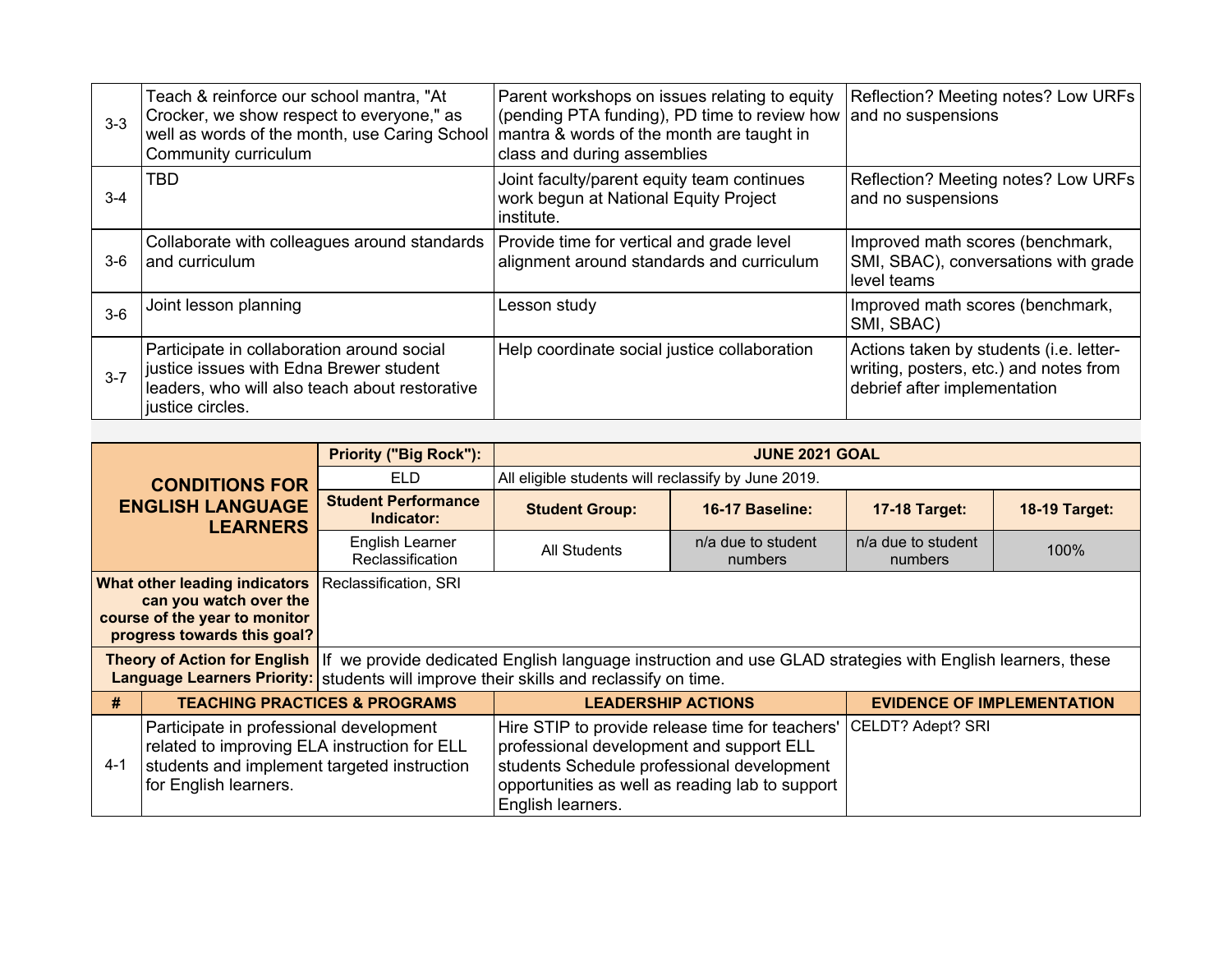| $3-3$   | Teach & reinforce our school mantra, "At<br>Crocker, we show respect to everyone," as<br>well as words of the month, use Caring School<br>Community curriculum | Parent workshops on issues relating to equity<br>(pending PTA funding), PD time to review how<br>mantra & words of the month are taught in<br>class and during assemblies | Reflection? Meeting notes? Low URFs<br>and no suspensions                                                         |
|---------|----------------------------------------------------------------------------------------------------------------------------------------------------------------|---------------------------------------------------------------------------------------------------------------------------------------------------------------------------|-------------------------------------------------------------------------------------------------------------------|
| $3-4$   | <b>TBD</b>                                                                                                                                                     | Joint faculty/parent equity team continues<br>work begun at National Equity Project<br>institute.                                                                         | Reflection? Meeting notes? Low URFs<br>and no suspensions                                                         |
| $3-6$   | Collaborate with colleagues around standards<br>and curriculum                                                                                                 | Provide time for vertical and grade level<br>alignment around standards and curriculum                                                                                    | Improved math scores (benchmark,<br>SMI, SBAC), conversations with grade<br>level teams                           |
| $3-6$   | Joint lesson planning                                                                                                                                          | Lesson study                                                                                                                                                              | Improved math scores (benchmark,<br>SMI, SBAC)                                                                    |
| $3 - 7$ | Participate in collaboration around social<br>justice issues with Edna Brewer student<br>leaders, who will also teach about restorative<br>justice circles.    | Help coordinate social justice collaboration                                                                                                                              | Actions taken by students (i.e. letter-<br>writing, posters, etc.) and notes from<br>debrief after implementation |

| <b>CONDITIONS FOR</b><br><b>ENGLISH LANGUAGE</b><br><b>LEARNERS</b> |                                                                                                                                                                 | <b>Priority ("Big Rock"):</b>            |                                                                                                                                                                                                                                  | <b>JUNE 2021 GOAL</b>         |                                   |                      |                   |  |  |
|---------------------------------------------------------------------|-----------------------------------------------------------------------------------------------------------------------------------------------------------------|------------------------------------------|----------------------------------------------------------------------------------------------------------------------------------------------------------------------------------------------------------------------------------|-------------------------------|-----------------------------------|----------------------|-------------------|--|--|
|                                                                     |                                                                                                                                                                 | <b>ELD</b>                               | All eligible students will reclassify by June 2019.                                                                                                                                                                              |                               |                                   |                      |                   |  |  |
|                                                                     |                                                                                                                                                                 | <b>Student Performance</b><br>Indicator: | <b>Student Group:</b>                                                                                                                                                                                                            | 16-17 Baseline:               | <b>17-18 Target:</b>              | <b>18-19 Target:</b> |                   |  |  |
|                                                                     |                                                                                                                                                                 | English Learner<br>Reclassification      | <b>All Students</b>                                                                                                                                                                                                              | n/a due to student<br>numbers | n/a due to student<br>numbers     | 100%                 |                   |  |  |
|                                                                     | What other leading indicators<br>can you watch over the<br>course of the year to monitor<br>progress towards this goal?                                         | Reclassification, SRI                    |                                                                                                                                                                                                                                  |                               |                                   |                      |                   |  |  |
|                                                                     |                                                                                                                                                                 |                                          | Theory of Action for English If we provide dedicated English language instruction and use GLAD strategies with English learners, these<br>Language Learners Priority: students will improve their skills and reclassify on time. |                               |                                   |                      |                   |  |  |
| #                                                                   | <b>TEACHING PRACTICES &amp; PROGRAMS</b>                                                                                                                        |                                          | <b>LEADERSHIP ACTIONS</b>                                                                                                                                                                                                        |                               | <b>EVIDENCE OF IMPLEMENTATION</b> |                      |                   |  |  |
| $4 - 1$                                                             | Participate in professional development<br>related to improving ELA instruction for ELL<br>students and implement targeted instruction<br>for English learners. |                                          | Hire STIP to provide release time for teachers'<br>professional development and support ELL<br>students Schedule professional development<br>opportunities as well as reading lab to support<br>English learners.                |                               |                                   |                      | CELDT? Adept? SRI |  |  |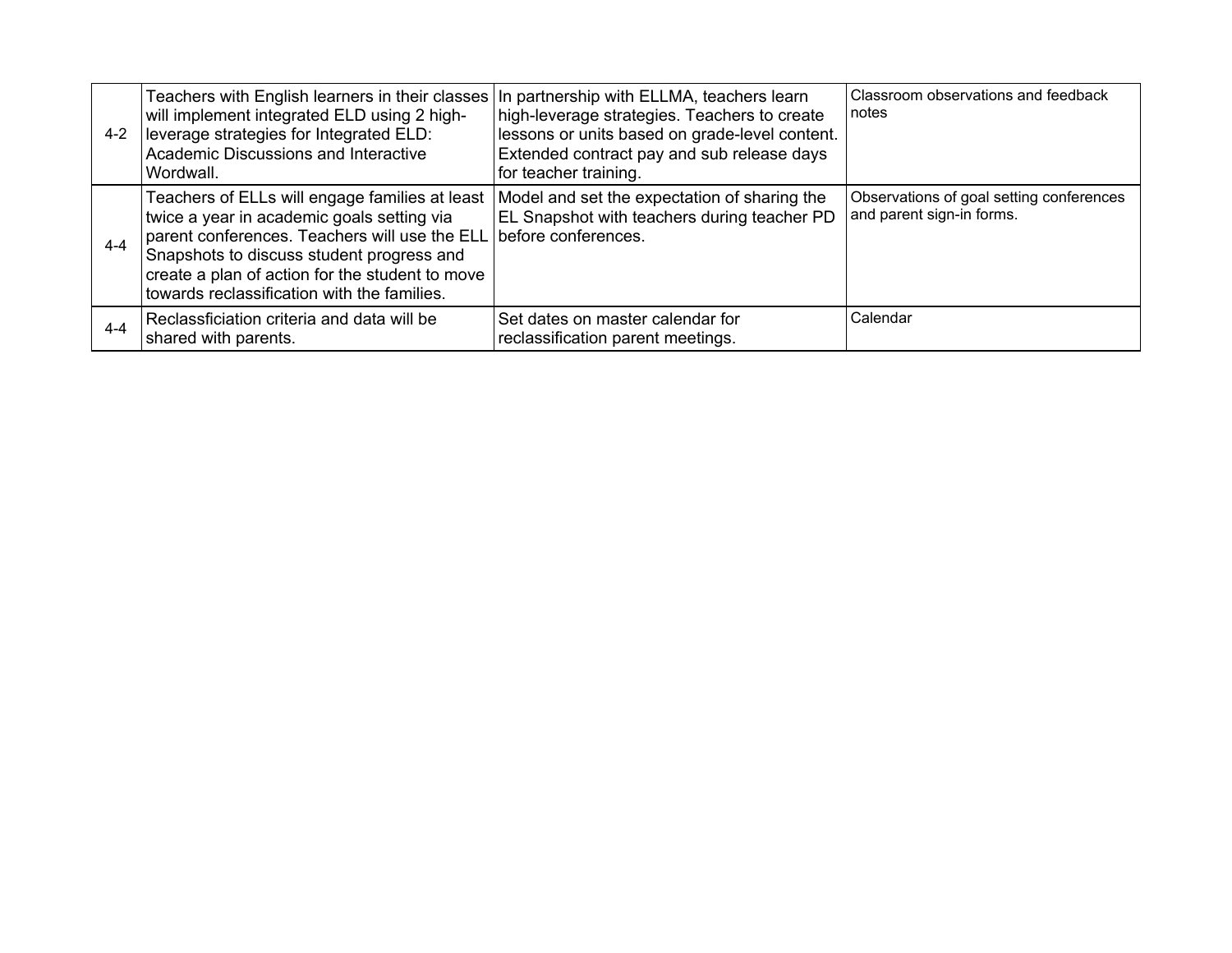| 4-2     | Teachers with English learners in their classes In partnership with ELLMA, teachers learn<br>will implement integrated ELD using 2 high-<br>leverage strategies for Integrated ELD:<br>Academic Discussions and Interactive<br>Wordwall.                                                                         | high-leverage strategies. Teachers to create<br>lessons or units based on grade-level content.<br>Extended contract pay and sub release days<br>for teacher training. | Classroom observations and feedback<br>notes                          |
|---------|------------------------------------------------------------------------------------------------------------------------------------------------------------------------------------------------------------------------------------------------------------------------------------------------------------------|-----------------------------------------------------------------------------------------------------------------------------------------------------------------------|-----------------------------------------------------------------------|
| $4 - 4$ | Teachers of ELLs will engage families at least<br>twice a year in academic goals setting via<br>parent conferences. Teachers will use the ELL before conferences.<br>Snapshots to discuss student progress and<br>create a plan of action for the student to move<br>towards reclassification with the families. | Model and set the expectation of sharing the<br>EL Snapshot with teachers during teacher PD                                                                           | Observations of goal setting conferences<br>and parent sign-in forms. |
| $4 - 4$ | Reclassficiation criteria and data will be<br>shared with parents.                                                                                                                                                                                                                                               | Set dates on master calendar for<br>reclassification parent meetings.                                                                                                 | Calendar                                                              |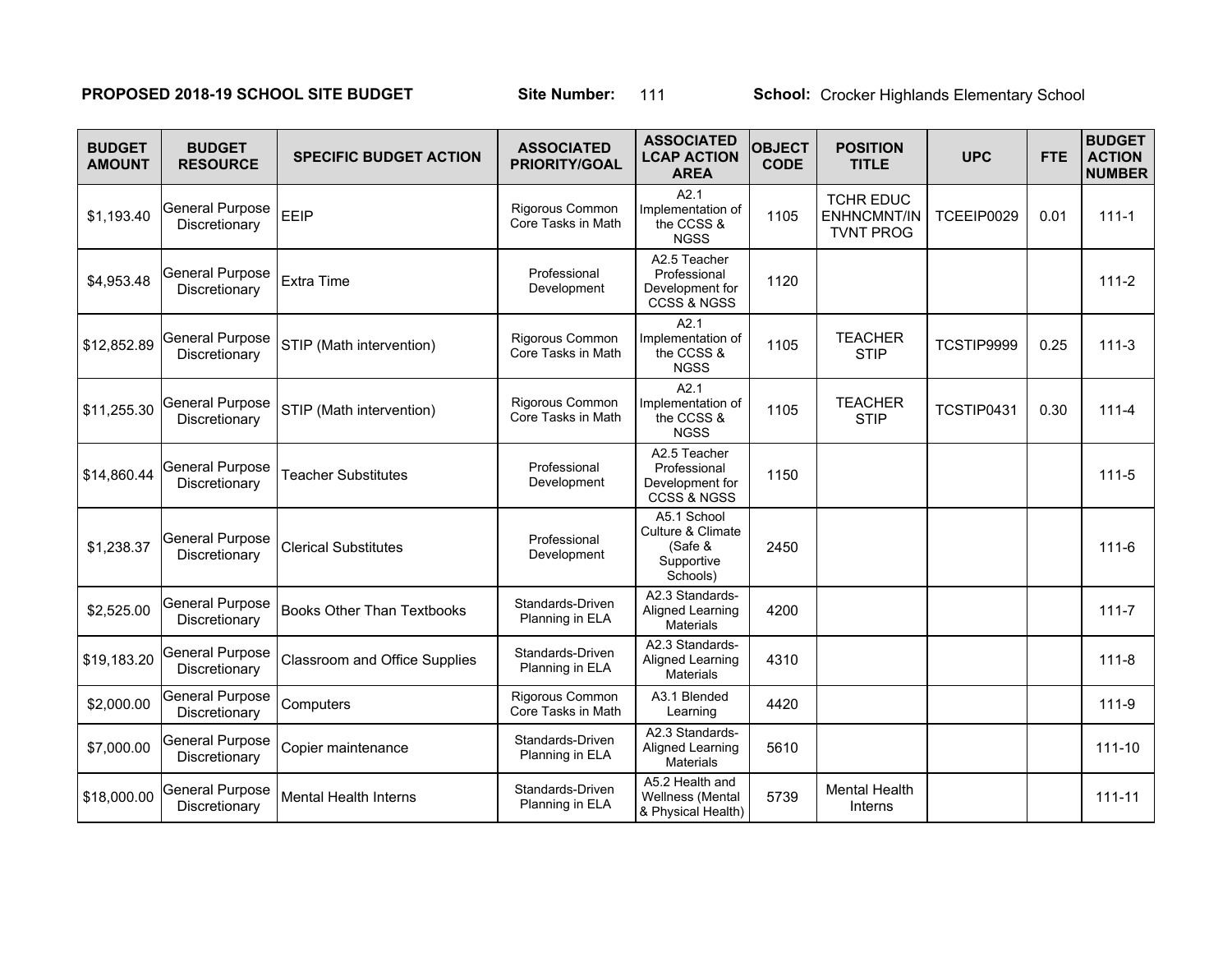# **PROPOSED 2018-19 SCHOOL SITE BUDGET Site Number:** 111 School: Crocker Highlands Elementary School

| <b>BUDGET</b><br><b>AMOUNT</b> | <b>BUDGET</b><br><b>RESOURCE</b>        | <b>SPECIFIC BUDGET ACTION</b>        | <b>ASSOCIATED</b><br><b>PRIORITY/GOAL</b> | <b>ASSOCIATED</b><br><b>LCAP ACTION</b><br><b>AREA</b>                | <b>OBJECT</b><br><b>CODE</b> | <b>POSITION</b><br><b>TITLE</b>                            | <b>UPC</b> | <b>FTE</b> | <b>BUDGET</b><br><b>ACTION</b><br><b>NUMBER</b> |
|--------------------------------|-----------------------------------------|--------------------------------------|-------------------------------------------|-----------------------------------------------------------------------|------------------------------|------------------------------------------------------------|------------|------------|-------------------------------------------------|
| \$1,193.40                     | <b>General Purpose</b><br>Discretionary | EEIP                                 | Rigorous Common<br>Core Tasks in Math     | A2.1<br>Implementation of<br>the CCSS &<br><b>NGSS</b>                | 1105                         | <b>TCHR EDUC</b><br><b>ENHNCMNT/IN</b><br><b>TVNT PROG</b> | TCEEIP0029 | 0.01       | $111 - 1$                                       |
| \$4,953.48                     | <b>General Purpose</b><br>Discretionary | Extra Time                           | Professional<br>Development               | A2.5 Teacher<br>Professional<br>Development for<br>CCSS & NGSS        | 1120                         |                                                            |            |            | $111 - 2$                                       |
| \$12,852.89                    | <b>General Purpose</b><br>Discretionary | STIP (Math intervention)             | Rigorous Common<br>Core Tasks in Math     | A2.1<br>Implementation of<br>the CCSS &<br><b>NGSS</b>                | 1105                         | <b>TEACHER</b><br><b>STIP</b>                              | TCSTIP9999 | 0.25       | $111-3$                                         |
| \$11,255.30                    | <b>General Purpose</b><br>Discretionary | STIP (Math intervention)             | Rigorous Common<br>Core Tasks in Math     | A2.1<br>Implementation of<br>the CCSS &<br><b>NGSS</b>                | 1105                         | <b>TEACHER</b><br><b>STIP</b>                              | TCSTIP0431 | 0.30       | $111 - 4$                                       |
| \$14,860.44                    | <b>General Purpose</b><br>Discretionary | <b>Teacher Substitutes</b>           | Professional<br>Development               | A2.5 Teacher<br>Professional<br>Development for<br>CCSS & NGSS        | 1150                         |                                                            |            |            | $111 - 5$                                       |
| \$1,238.37                     | <b>General Purpose</b><br>Discretionary | <b>Clerical Substitutes</b>          | Professional<br>Development               | A5.1 School<br>Culture & Climate<br>(Safe &<br>Supportive<br>Schools) | 2450                         |                                                            |            |            | $111 - 6$                                       |
| \$2,525.00                     | <b>General Purpose</b><br>Discretionary | <b>Books Other Than Textbooks</b>    | Standards-Driven<br>Planning in ELA       | A2.3 Standards-<br>Aligned Learning<br><b>Materials</b>               | 4200                         |                                                            |            |            | $111 - 7$                                       |
| \$19,183.20                    | General Purpose<br>Discretionary        | <b>Classroom and Office Supplies</b> | Standards-Driven<br>Planning in ELA       | A2.3 Standards-<br>Aligned Learning<br>Materials                      | 4310                         |                                                            |            |            | $111 - 8$                                       |
| \$2,000.00                     | <b>General Purpose</b><br>Discretionary | Computers                            | Rigorous Common<br>Core Tasks in Math     | A3.1 Blended<br>Learning                                              | 4420                         |                                                            |            |            | $111-9$                                         |
| \$7,000.00                     | <b>General Purpose</b><br>Discretionary | Copier maintenance                   | Standards-Driven<br>Planning in ELA       | A2.3 Standards-<br>Aligned Learning<br><b>Materials</b>               | 5610                         |                                                            |            |            | $111 - 10$                                      |
| \$18,000.00                    | <b>General Purpose</b><br>Discretionary | <b>Mental Health Interns</b>         | Standards-Driven<br>Planning in ELA       | A5.2 Health and<br>Wellness (Mental<br>& Physical Health)             | 5739                         | <b>Mental Health</b><br>Interns                            |            |            | $111 - 11$                                      |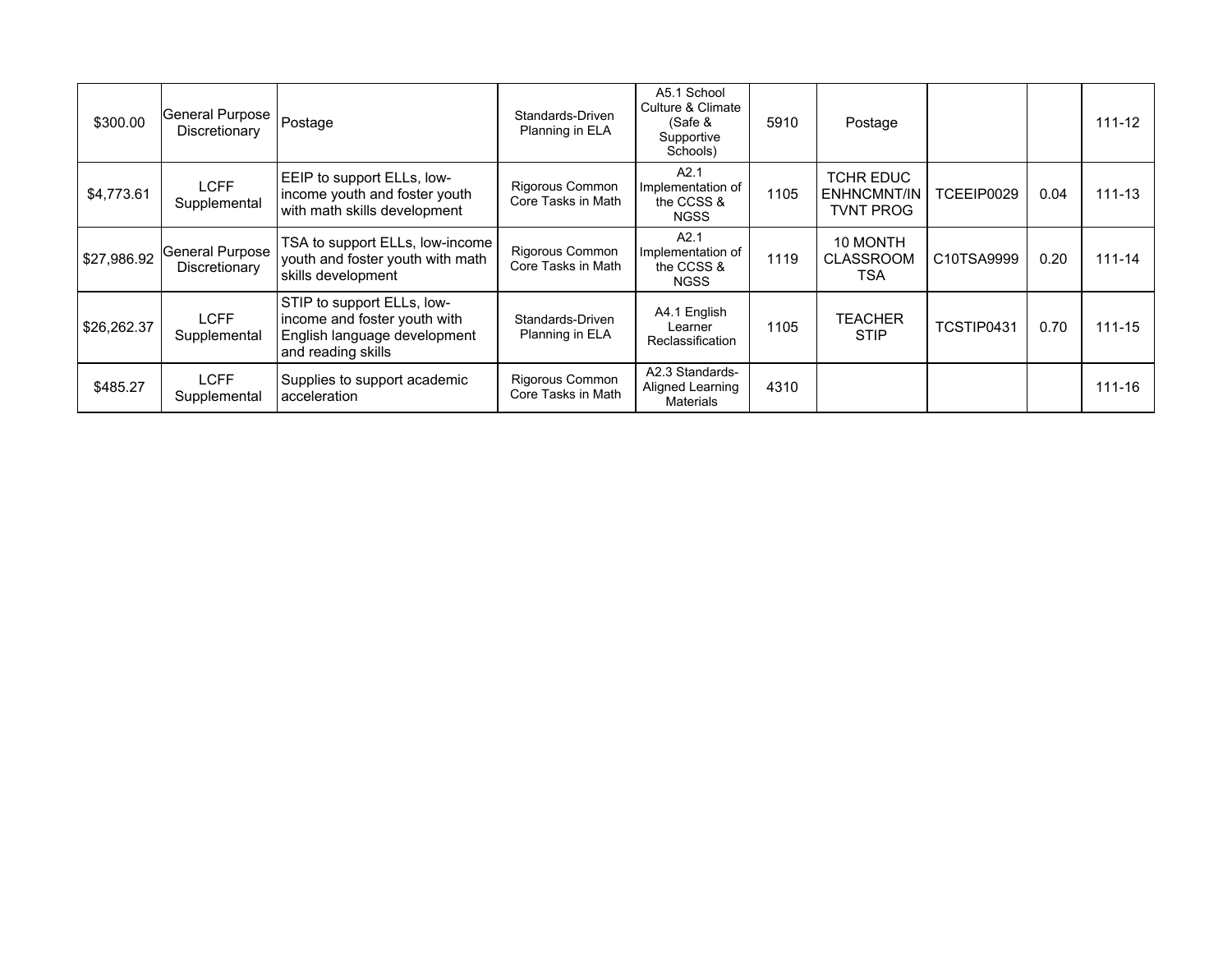| \$300.00    | General Purpose<br>Discretionary | Postage                                                                                                          | Standards-Driven<br>Planning in ELA   | A5.1 School<br>Culture & Climate<br>(Safe &<br>Supportive<br>Schools) | 5910                                                        | Postage                                    |            |      | $111 - 12$ |
|-------------|----------------------------------|------------------------------------------------------------------------------------------------------------------|---------------------------------------|-----------------------------------------------------------------------|-------------------------------------------------------------|--------------------------------------------|------------|------|------------|
| \$4,773.61  | <b>LCFF</b><br>Supplemental      | EEIP to support ELLs, low-<br>income youth and foster youth<br>with math skills development                      | Rigorous Common<br>Core Tasks in Math | A2.1<br>Implementation of<br>the CCSS &<br><b>NGSS</b>                | TCHR EDUC<br>1105<br><b>ENHNCMNT/IN</b><br><b>TVNT PROG</b> |                                            | TCEEIP0029 | 0.04 | $111 - 13$ |
| \$27,986.92 | General Purpose<br>Discretionary | TSA to support ELLs, low-income<br>youth and foster youth with math<br>skills development                        | Rigorous Common<br>Core Tasks in Math | A2.1<br>Implementation of<br>the CCSS &<br><b>NGSS</b>                | 1119                                                        | 10 MONTH<br><b>CLASSROOM</b><br><b>TSA</b> | C10TSA9999 | 0.20 | $111 - 14$ |
| \$26,262.37 | <b>LCFF</b><br>Supplemental      | STIP to support ELLs, low-<br>income and foster youth with<br>English language development<br>and reading skills | Standards-Driven<br>Planning in ELA   | A4.1 English<br>Learner<br>Reclassification                           | 1105                                                        | <b>TEACHER</b><br><b>STIP</b>              | TCSTIP0431 | 0.70 | $111 - 15$ |
| \$485.27    | LCFF<br>Supplemental             | Supplies to support academic<br>acceleration                                                                     | Rigorous Common<br>Core Tasks in Math | A2.3 Standards-<br>Aligned Learning<br><b>Materials</b>               | 4310                                                        |                                            |            |      | 111-16     |